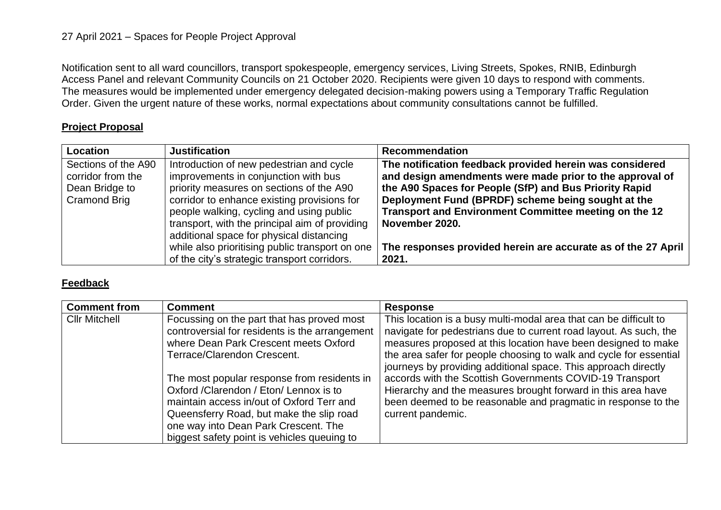## 27 April 2021 – Spaces for People Project Approval

Notification sent to all ward councillors, transport spokespeople, emergency services, Living Streets, Spokes, RNIB, Edinburgh Access Panel and relevant Community Councils on 21 October 2020. Recipients were given 10 days to respond with comments. The measures would be implemented under emergency delegated decision-making powers using a Temporary Traffic Regulation Order. Given the urgent nature of these works, normal expectations about community consultations cannot be fulfilled.

## **Project Proposal**

| Location            | <b>Justification</b>                            | <b>Recommendation</b>                                         |
|---------------------|-------------------------------------------------|---------------------------------------------------------------|
| Sections of the A90 | Introduction of new pedestrian and cycle        | The notification feedback provided herein was considered      |
| corridor from the   | improvements in conjunction with bus            | and design amendments were made prior to the approval of      |
| Dean Bridge to      | priority measures on sections of the A90        | the A90 Spaces for People (SfP) and Bus Priority Rapid        |
| <b>Cramond Brig</b> | corridor to enhance existing provisions for     | Deployment Fund (BPRDF) scheme being sought at the            |
|                     | people walking, cycling and using public        | Transport and Environment Committee meeting on the 12         |
|                     | transport, with the principal aim of providing  | November 2020.                                                |
|                     | additional space for physical distancing        |                                                               |
|                     | while also prioritising public transport on one | The responses provided herein are accurate as of the 27 April |
|                     | of the city's strategic transport corridors.    | 2021.                                                         |

## **Feedback**

| <b>Comment from</b>  | <b>Comment</b>                                                                                                                                                                                                                                                         | <b>Response</b>                                                                                                                                                                                                                                                                                                                                 |
|----------------------|------------------------------------------------------------------------------------------------------------------------------------------------------------------------------------------------------------------------------------------------------------------------|-------------------------------------------------------------------------------------------------------------------------------------------------------------------------------------------------------------------------------------------------------------------------------------------------------------------------------------------------|
| <b>Cllr Mitchell</b> | Focussing on the part that has proved most<br>controversial for residents is the arrangement<br>where Dean Park Crescent meets Oxford<br>Terrace/Clarendon Crescent.                                                                                                   | This location is a busy multi-modal area that can be difficult to<br>navigate for pedestrians due to current road layout. As such, the<br>measures proposed at this location have been designed to make<br>the area safer for people choosing to walk and cycle for essential<br>journeys by providing additional space. This approach directly |
|                      | The most popular response from residents in<br>Oxford / Clarendon / Eton/ Lennox is to<br>maintain access in/out of Oxford Terr and<br>Queensferry Road, but make the slip road<br>one way into Dean Park Crescent. The<br>biggest safety point is vehicles queuing to | accords with the Scottish Governments COVID-19 Transport<br>Hierarchy and the measures brought forward in this area have<br>been deemed to be reasonable and pragmatic in response to the<br>current pandemic.                                                                                                                                  |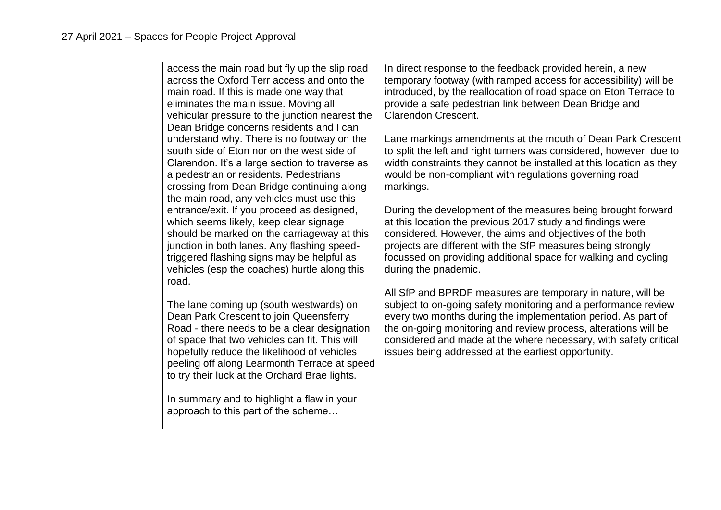|  | access the main road but fly up the slip road<br>across the Oxford Terr access and onto the<br>main road. If this is made one way that<br>eliminates the main issue. Moving all<br>vehicular pressure to the junction nearest the<br>Dean Bridge concerns residents and I can<br>understand why. There is no footway on the<br>south side of Eton nor on the west side of<br>Clarendon. It's a large section to traverse as<br>a pedestrian or residents. Pedestrians<br>crossing from Dean Bridge continuing along<br>the main road, any vehicles must use this<br>entrance/exit. If you proceed as designed,<br>which seems likely, keep clear signage<br>should be marked on the carriageway at this<br>junction in both lanes. Any flashing speed-<br>triggered flashing signs may be helpful as<br>vehicles (esp the coaches) hurtle along this<br>road.<br>The lane coming up (south westwards) on<br>Dean Park Crescent to join Queensferry<br>Road - there needs to be a clear designation<br>of space that two vehicles can fit. This will<br>hopefully reduce the likelihood of vehicles<br>peeling off along Learmonth Terrace at speed<br>to try their luck at the Orchard Brae lights.<br>In summary and to highlight a flaw in your<br>approach to this part of the scheme | In direct response to the feedback provided herein, a new<br>temporary footway (with ramped access for accessibility) will be<br>introduced, by the reallocation of road space on Eton Terrace to<br>provide a safe pedestrian link between Dean Bridge and<br><b>Clarendon Crescent.</b><br>Lane markings amendments at the mouth of Dean Park Crescent<br>to split the left and right turners was considered, however, due to<br>width constraints they cannot be installed at this location as they<br>would be non-compliant with regulations governing road<br>markings.<br>During the development of the measures being brought forward<br>at this location the previous 2017 study and findings were<br>considered. However, the aims and objectives of the both<br>projects are different with the SfP measures being strongly<br>focussed on providing additional space for walking and cycling<br>during the pnademic.<br>All SfP and BPRDF measures are temporary in nature, will be<br>subject to on-going safety monitoring and a performance review<br>every two months during the implementation period. As part of<br>the on-going monitoring and review process, alterations will be<br>considered and made at the where necessary, with safety critical<br>issues being addressed at the earliest opportunity. |
|--|------------------------------------------------------------------------------------------------------------------------------------------------------------------------------------------------------------------------------------------------------------------------------------------------------------------------------------------------------------------------------------------------------------------------------------------------------------------------------------------------------------------------------------------------------------------------------------------------------------------------------------------------------------------------------------------------------------------------------------------------------------------------------------------------------------------------------------------------------------------------------------------------------------------------------------------------------------------------------------------------------------------------------------------------------------------------------------------------------------------------------------------------------------------------------------------------------------------------------------------------------------------------------------------|----------------------------------------------------------------------------------------------------------------------------------------------------------------------------------------------------------------------------------------------------------------------------------------------------------------------------------------------------------------------------------------------------------------------------------------------------------------------------------------------------------------------------------------------------------------------------------------------------------------------------------------------------------------------------------------------------------------------------------------------------------------------------------------------------------------------------------------------------------------------------------------------------------------------------------------------------------------------------------------------------------------------------------------------------------------------------------------------------------------------------------------------------------------------------------------------------------------------------------------------------------------------------------------------------------------------------------|
|--|------------------------------------------------------------------------------------------------------------------------------------------------------------------------------------------------------------------------------------------------------------------------------------------------------------------------------------------------------------------------------------------------------------------------------------------------------------------------------------------------------------------------------------------------------------------------------------------------------------------------------------------------------------------------------------------------------------------------------------------------------------------------------------------------------------------------------------------------------------------------------------------------------------------------------------------------------------------------------------------------------------------------------------------------------------------------------------------------------------------------------------------------------------------------------------------------------------------------------------------------------------------------------------------|----------------------------------------------------------------------------------------------------------------------------------------------------------------------------------------------------------------------------------------------------------------------------------------------------------------------------------------------------------------------------------------------------------------------------------------------------------------------------------------------------------------------------------------------------------------------------------------------------------------------------------------------------------------------------------------------------------------------------------------------------------------------------------------------------------------------------------------------------------------------------------------------------------------------------------------------------------------------------------------------------------------------------------------------------------------------------------------------------------------------------------------------------------------------------------------------------------------------------------------------------------------------------------------------------------------------------------|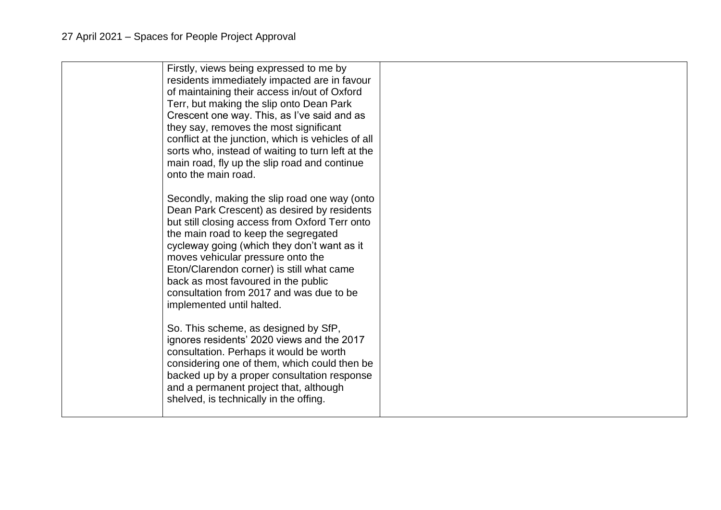| Firstly, views being expressed to me by<br>residents immediately impacted are in favour<br>of maintaining their access in/out of Oxford<br>Terr, but making the slip onto Dean Park<br>Crescent one way. This, as I've said and as<br>they say, removes the most significant<br>conflict at the junction, which is vehicles of all<br>sorts who, instead of waiting to turn left at the<br>main road, fly up the slip road and continue<br>onto the main road. |  |
|----------------------------------------------------------------------------------------------------------------------------------------------------------------------------------------------------------------------------------------------------------------------------------------------------------------------------------------------------------------------------------------------------------------------------------------------------------------|--|
| Secondly, making the slip road one way (onto<br>Dean Park Crescent) as desired by residents<br>but still closing access from Oxford Terr onto<br>the main road to keep the segregated<br>cycleway going (which they don't want as it<br>moves vehicular pressure onto the<br>Eton/Clarendon corner) is still what came<br>back as most favoured in the public<br>consultation from 2017 and was due to be<br>implemented until halted.                         |  |
| So. This scheme, as designed by SfP,<br>ignores residents' 2020 views and the 2017<br>consultation. Perhaps it would be worth<br>considering one of them, which could then be<br>backed up by a proper consultation response<br>and a permanent project that, although<br>shelved, is technically in the offing.                                                                                                                                               |  |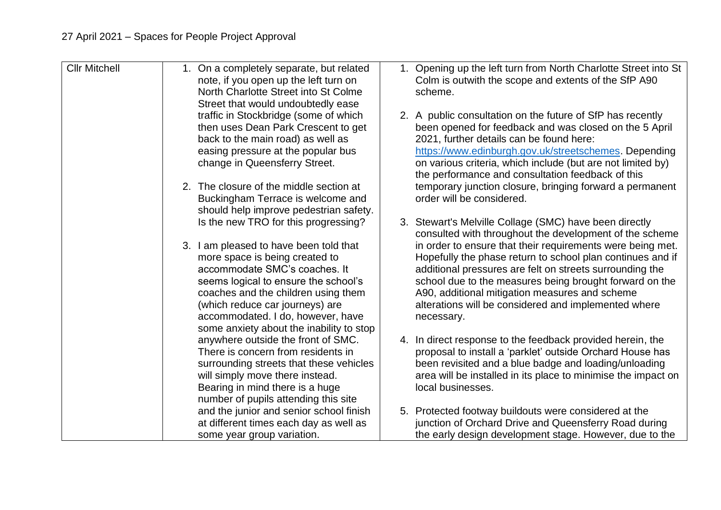| <b>Cllr Mitchell</b> | 1. On a completely separate, but related<br>note, if you open up the left turn on<br>North Charlotte Street into St Colme<br>Street that would undoubtedly ease<br>traffic in Stockbridge (some of which<br>then uses Dean Park Crescent to get<br>back to the main road) as well as<br>easing pressure at the popular bus<br>change in Queensferry Street. | 1. Opening up the left turn from North Charlotte Street into St<br>Colm is outwith the scope and extents of the SfP A90<br>scheme.<br>2. A public consultation on the future of SfP has recently<br>been opened for feedback and was closed on the 5 April<br>2021, further details can be found here:<br>https://www.edinburgh.gov.uk/streetschemes. Depending<br>on various criteria, which include (but are not limited by) |
|----------------------|-------------------------------------------------------------------------------------------------------------------------------------------------------------------------------------------------------------------------------------------------------------------------------------------------------------------------------------------------------------|--------------------------------------------------------------------------------------------------------------------------------------------------------------------------------------------------------------------------------------------------------------------------------------------------------------------------------------------------------------------------------------------------------------------------------|
|                      | 2. The closure of the middle section at<br>Buckingham Terrace is welcome and<br>should help improve pedestrian safety.                                                                                                                                                                                                                                      | the performance and consultation feedback of this<br>temporary junction closure, bringing forward a permanent<br>order will be considered.                                                                                                                                                                                                                                                                                     |
|                      | Is the new TRO for this progressing?                                                                                                                                                                                                                                                                                                                        | 3. Stewart's Melville Collage (SMC) have been directly<br>consulted with throughout the development of the scheme                                                                                                                                                                                                                                                                                                              |
|                      | 3. I am pleased to have been told that<br>more space is being created to<br>accommodate SMC's coaches. It<br>seems logical to ensure the school's<br>coaches and the children using them<br>(which reduce car journeys) are<br>accommodated. I do, however, have<br>some anxiety about the inability to stop                                                | in order to ensure that their requirements were being met.<br>Hopefully the phase return to school plan continues and if<br>additional pressures are felt on streets surrounding the<br>school due to the measures being brought forward on the<br>A90, additional mitigation measures and scheme<br>alterations will be considered and implemented where<br>necessary.                                                        |
|                      | anywhere outside the front of SMC.<br>There is concern from residents in<br>surrounding streets that these vehicles<br>will simply move there instead.<br>Bearing in mind there is a huge<br>number of pupils attending this site                                                                                                                           | 4. In direct response to the feedback provided herein, the<br>proposal to install a 'parklet' outside Orchard House has<br>been revisited and a blue badge and loading/unloading<br>area will be installed in its place to minimise the impact on<br>local businesses.                                                                                                                                                         |
|                      | and the junior and senior school finish<br>at different times each day as well as<br>some year group variation.                                                                                                                                                                                                                                             | 5. Protected footway buildouts were considered at the<br>junction of Orchard Drive and Queensferry Road during<br>the early design development stage. However, due to the                                                                                                                                                                                                                                                      |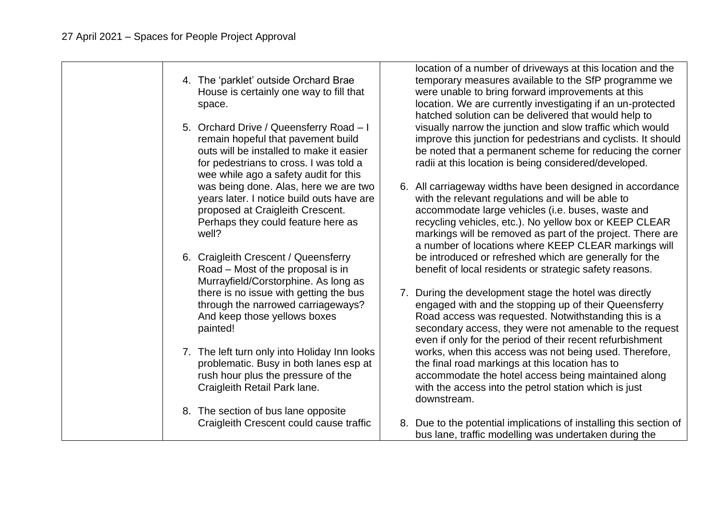4. The 'parklet' outside Orchard Brae House is certainly one way to fill that space. 5. Orchard Drive / Queensferry Road – I remain hopeful that pavement build outs will be installed to make it easier for pedestrians to cross. I was told a wee while ago a safety audit for this was being done. Alas, here we are two years later. I notice build outs have are proposed at Craigleith Crescent. Perhaps they could feature here as well? 6. Craigleith Crescent / Queensferry Road – Most of the proposal is in Murrayfield/Corstorphine. As long as there is no issue with getting the bus through the narrowed carriageways? And keep those yellows boxes painted! 7. The left turn only into Holiday Inn looks problematic. Busy in both lanes esp at rush hour plus the pressure of the Craigleith Retail Park lane. 8. The section of bus lane opposite Craigleith Crescent could cause traffic location of a number of driveways at this location and the temporary measures available to the SfP programme we were unable to bring forward improvements at this location. We are currently investigating if an un-protected hatched solution can be delivered that would help to visually narrow the junction and slow traffic which would improve this junction for pedestrians and cyclists. It should be noted that a permanent scheme for reducing the corner radii at this location is being considered/developed. 6. All carriageway widths have been designed in accordance with the relevant regulations and will be able to accommodate large vehicles (i.e. buses, waste and recycling vehicles, etc.). No yellow box or KEEP CLEAR markings will be removed as part of the project. There are a number of locations where KEEP CLEAR markings will be introduced or refreshed which are generally for the benefit of local residents or strategic safety reasons. 7. During the development stage the hotel was directly engaged with and the stopping up of their Queensferry Road access was requested. Notwithstanding this is a secondary access, they were not amenable to the request even if only for the period of their recent refurbishment works, when this access was not being used. Therefore, the final road markings at this location has to accommodate the hotel access being maintained along with the access into the petrol station which is just downstream. 8. Due to the potential implications of installing this section of bus lane, traffic modelling was undertaken during the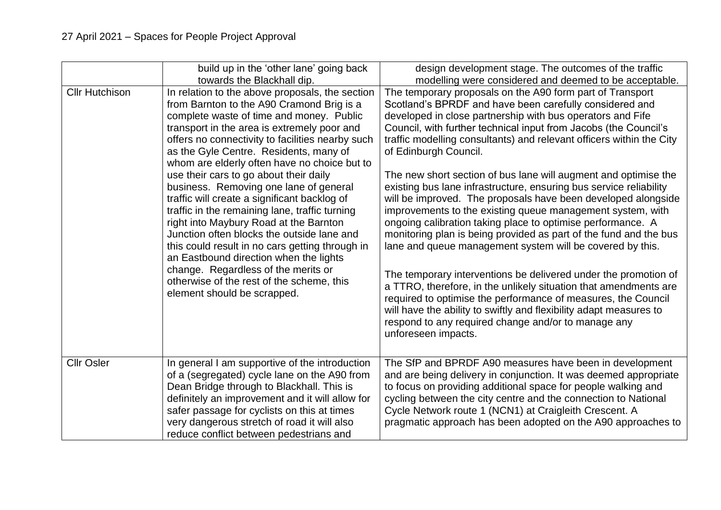|                       | build up in the 'other lane' going back<br>towards the Blackhall dip.                                                                                                                                                                                                                                                                                                                                                                                                                                                                                                                                                                                                                                                                                                                                                               | design development stage. The outcomes of the traffic<br>modelling were considered and deemed to be acceptable.                                                                                                                                                                                                                                                                                                                                                                                                                                                                                                                                                                                                                                                                                                                                                                                                                                                                                                                                                                                                                                                                              |
|-----------------------|-------------------------------------------------------------------------------------------------------------------------------------------------------------------------------------------------------------------------------------------------------------------------------------------------------------------------------------------------------------------------------------------------------------------------------------------------------------------------------------------------------------------------------------------------------------------------------------------------------------------------------------------------------------------------------------------------------------------------------------------------------------------------------------------------------------------------------------|----------------------------------------------------------------------------------------------------------------------------------------------------------------------------------------------------------------------------------------------------------------------------------------------------------------------------------------------------------------------------------------------------------------------------------------------------------------------------------------------------------------------------------------------------------------------------------------------------------------------------------------------------------------------------------------------------------------------------------------------------------------------------------------------------------------------------------------------------------------------------------------------------------------------------------------------------------------------------------------------------------------------------------------------------------------------------------------------------------------------------------------------------------------------------------------------|
| <b>Cllr Hutchison</b> | In relation to the above proposals, the section<br>from Barnton to the A90 Cramond Brig is a<br>complete waste of time and money. Public<br>transport in the area is extremely poor and<br>offers no connectivity to facilities nearby such<br>as the Gyle Centre. Residents, many of<br>whom are elderly often have no choice but to<br>use their cars to go about their daily<br>business. Removing one lane of general<br>traffic will create a significant backlog of<br>traffic in the remaining lane, traffic turning<br>right into Maybury Road at the Barnton<br>Junction often blocks the outside lane and<br>this could result in no cars getting through in<br>an Eastbound direction when the lights<br>change. Regardless of the merits or<br>otherwise of the rest of the scheme, this<br>element should be scrapped. | The temporary proposals on the A90 form part of Transport<br>Scotland's BPRDF and have been carefully considered and<br>developed in close partnership with bus operators and Fife<br>Council, with further technical input from Jacobs (the Council's<br>traffic modelling consultants) and relevant officers within the City<br>of Edinburgh Council.<br>The new short section of bus lane will augment and optimise the<br>existing bus lane infrastructure, ensuring bus service reliability<br>will be improved. The proposals have been developed alongside<br>improvements to the existing queue management system, with<br>ongoing calibration taking place to optimise performance. A<br>monitoring plan is being provided as part of the fund and the bus<br>lane and queue management system will be covered by this.<br>The temporary interventions be delivered under the promotion of<br>a TTRO, therefore, in the unlikely situation that amendments are<br>required to optimise the performance of measures, the Council<br>will have the ability to swiftly and flexibility adapt measures to<br>respond to any required change and/or to manage any<br>unforeseen impacts. |
| <b>Cllr Osler</b>     | In general I am supportive of the introduction<br>of a (segregated) cycle lane on the A90 from<br>Dean Bridge through to Blackhall. This is<br>definitely an improvement and it will allow for<br>safer passage for cyclists on this at times<br>very dangerous stretch of road it will also<br>reduce conflict between pedestrians and                                                                                                                                                                                                                                                                                                                                                                                                                                                                                             | The SfP and BPRDF A90 measures have been in development<br>and are being delivery in conjunction. It was deemed appropriate<br>to focus on providing additional space for people walking and<br>cycling between the city centre and the connection to National<br>Cycle Network route 1 (NCN1) at Craigleith Crescent. A<br>pragmatic approach has been adopted on the A90 approaches to                                                                                                                                                                                                                                                                                                                                                                                                                                                                                                                                                                                                                                                                                                                                                                                                     |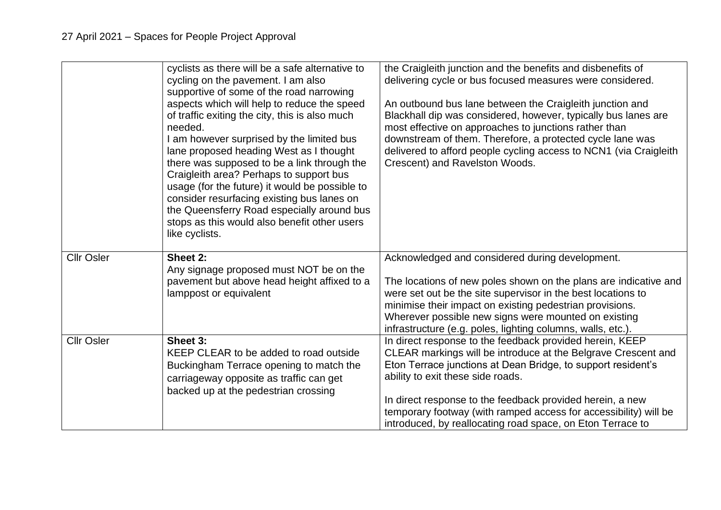|                   | cyclists as there will be a safe alternative to<br>cycling on the pavement. I am also<br>supportive of some of the road narrowing<br>aspects which will help to reduce the speed<br>of traffic exiting the city, this is also much<br>needed.<br>I am however surprised by the limited bus<br>lane proposed heading West as I thought<br>there was supposed to be a link through the<br>Craigleith area? Perhaps to support bus<br>usage (for the future) it would be possible to<br>consider resurfacing existing bus lanes on<br>the Queensferry Road especially around bus<br>stops as this would also benefit other users<br>like cyclists. | the Craigleith junction and the benefits and disbenefits of<br>delivering cycle or bus focused measures were considered.<br>An outbound bus lane between the Craigleith junction and<br>Blackhall dip was considered, however, typically bus lanes are<br>most effective on approaches to junctions rather than<br>downstream of them. Therefore, a protected cycle lane was<br>delivered to afford people cycling access to NCN1 (via Craigleith<br>Crescent) and Ravelston Woods. |
|-------------------|-------------------------------------------------------------------------------------------------------------------------------------------------------------------------------------------------------------------------------------------------------------------------------------------------------------------------------------------------------------------------------------------------------------------------------------------------------------------------------------------------------------------------------------------------------------------------------------------------------------------------------------------------|-------------------------------------------------------------------------------------------------------------------------------------------------------------------------------------------------------------------------------------------------------------------------------------------------------------------------------------------------------------------------------------------------------------------------------------------------------------------------------------|
| <b>Cllr Osler</b> | Sheet 2:<br>Any signage proposed must NOT be on the<br>pavement but above head height affixed to a<br>lamppost or equivalent                                                                                                                                                                                                                                                                                                                                                                                                                                                                                                                    | Acknowledged and considered during development.<br>The locations of new poles shown on the plans are indicative and<br>were set out be the site supervisor in the best locations to<br>minimise their impact on existing pedestrian provisions.<br>Wherever possible new signs were mounted on existing<br>infrastructure (e.g. poles, lighting columns, walls, etc.).                                                                                                              |
| <b>Cllr Osler</b> | Sheet 3:<br>KEEP CLEAR to be added to road outside<br>Buckingham Terrace opening to match the<br>carriageway opposite as traffic can get<br>backed up at the pedestrian crossing                                                                                                                                                                                                                                                                                                                                                                                                                                                                | In direct response to the feedback provided herein, KEEP<br>CLEAR markings will be introduce at the Belgrave Crescent and<br>Eton Terrace junctions at Dean Bridge, to support resident's<br>ability to exit these side roads.<br>In direct response to the feedback provided herein, a new<br>temporary footway (with ramped access for accessibility) will be<br>introduced, by reallocating road space, on Eton Terrace to                                                       |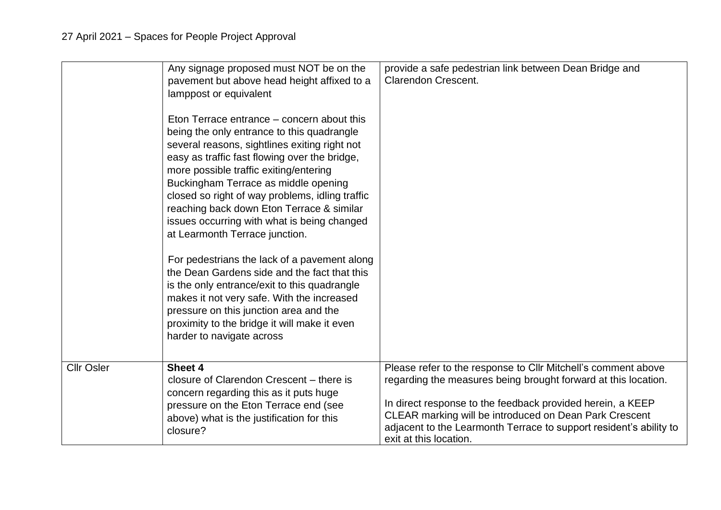|                   | Any signage proposed must NOT be on the<br>pavement but above head height affixed to a<br>lamppost or equivalent<br>Eton Terrace entrance – concern about this<br>being the only entrance to this quadrangle<br>several reasons, sightlines exiting right not<br>easy as traffic fast flowing over the bridge,<br>more possible traffic exiting/entering<br>Buckingham Terrace as middle opening<br>closed so right of way problems, idling traffic<br>reaching back down Eton Terrace & similar<br>issues occurring with what is being changed<br>at Learmonth Terrace junction.<br>For pedestrians the lack of a pavement along<br>the Dean Gardens side and the fact that this<br>is the only entrance/exit to this quadrangle<br>makes it not very safe. With the increased<br>pressure on this junction area and the<br>proximity to the bridge it will make it even<br>harder to navigate across | provide a safe pedestrian link between Dean Bridge and<br><b>Clarendon Crescent.</b>                                                                                                                                                                                                                                                                    |
|-------------------|--------------------------------------------------------------------------------------------------------------------------------------------------------------------------------------------------------------------------------------------------------------------------------------------------------------------------------------------------------------------------------------------------------------------------------------------------------------------------------------------------------------------------------------------------------------------------------------------------------------------------------------------------------------------------------------------------------------------------------------------------------------------------------------------------------------------------------------------------------------------------------------------------------|---------------------------------------------------------------------------------------------------------------------------------------------------------------------------------------------------------------------------------------------------------------------------------------------------------------------------------------------------------|
| <b>Cllr Osler</b> | Sheet 4<br>closure of Clarendon Crescent - there is<br>concern regarding this as it puts huge<br>pressure on the Eton Terrace end (see<br>above) what is the justification for this<br>closure?                                                                                                                                                                                                                                                                                                                                                                                                                                                                                                                                                                                                                                                                                                        | Please refer to the response to Cllr Mitchell's comment above<br>regarding the measures being brought forward at this location.<br>In direct response to the feedback provided herein, a KEEP<br>CLEAR marking will be introduced on Dean Park Crescent<br>adjacent to the Learmonth Terrace to support resident's ability to<br>exit at this location. |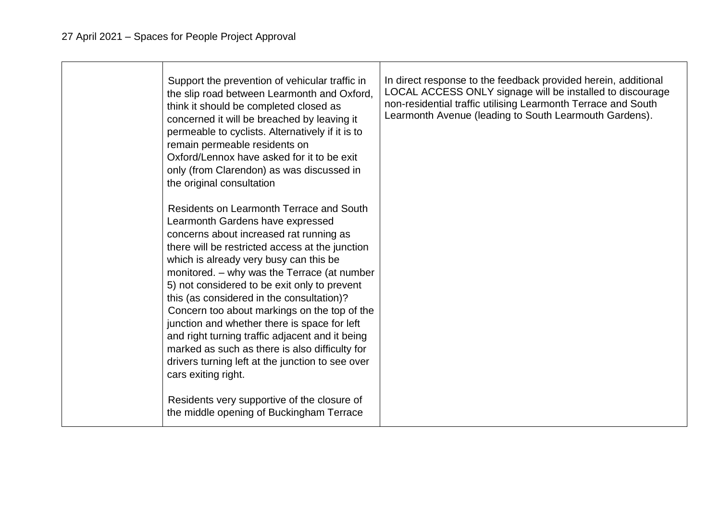| Support the prevention of vehicular traffic in<br>the slip road between Learmonth and Oxford,<br>think it should be completed closed as<br>concerned it will be breached by leaving it<br>permeable to cyclists. Alternatively if it is to<br>remain permeable residents on<br>Oxford/Lennox have asked for it to be exit<br>only (from Clarendon) as was discussed in<br>the original consultation                                                                                                                                                                                                                                              | In direct response to the feedback provided herein, additional<br>LOCAL ACCESS ONLY signage will be installed to discourage<br>non-residential traffic utilising Learmonth Terrace and South<br>Learmonth Avenue (leading to South Learmouth Gardens). |
|--------------------------------------------------------------------------------------------------------------------------------------------------------------------------------------------------------------------------------------------------------------------------------------------------------------------------------------------------------------------------------------------------------------------------------------------------------------------------------------------------------------------------------------------------------------------------------------------------------------------------------------------------|--------------------------------------------------------------------------------------------------------------------------------------------------------------------------------------------------------------------------------------------------------|
| Residents on Learmonth Terrace and South<br>Learmonth Gardens have expressed<br>concerns about increased rat running as<br>there will be restricted access at the junction<br>which is already very busy can this be<br>monitored. - why was the Terrace (at number<br>5) not considered to be exit only to prevent<br>this (as considered in the consultation)?<br>Concern too about markings on the top of the<br>junction and whether there is space for left<br>and right turning traffic adjacent and it being<br>marked as such as there is also difficulty for<br>drivers turning left at the junction to see over<br>cars exiting right. |                                                                                                                                                                                                                                                        |
| Residents very supportive of the closure of<br>the middle opening of Buckingham Terrace                                                                                                                                                                                                                                                                                                                                                                                                                                                                                                                                                          |                                                                                                                                                                                                                                                        |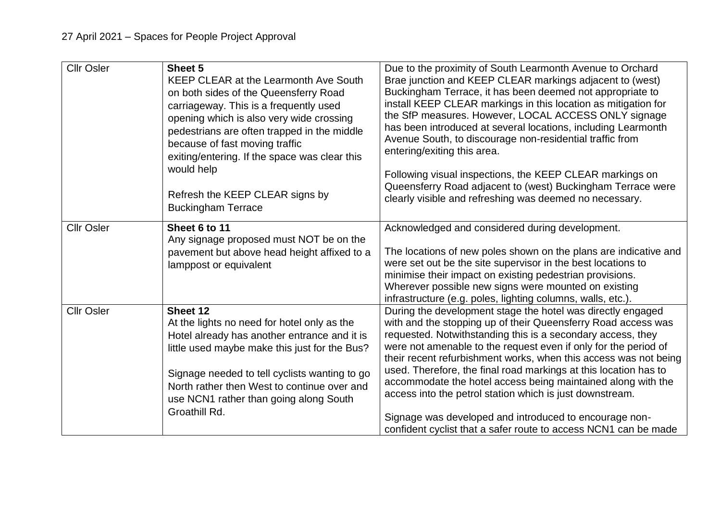| <b>Cllr Osler</b> | Sheet 5<br>KEEP CLEAR at the Learmonth Ave South<br>on both sides of the Queensferry Road<br>carriageway. This is a frequently used<br>opening which is also very wide crossing<br>pedestrians are often trapped in the middle<br>because of fast moving traffic<br>exiting/entering. If the space was clear this<br>would help<br>Refresh the KEEP CLEAR signs by<br><b>Buckingham Terrace</b> | Due to the proximity of South Learmonth Avenue to Orchard<br>Brae junction and KEEP CLEAR markings adjacent to (west)<br>Buckingham Terrace, it has been deemed not appropriate to<br>install KEEP CLEAR markings in this location as mitigation for<br>the SfP measures. However, LOCAL ACCESS ONLY signage<br>has been introduced at several locations, including Learmonth<br>Avenue South, to discourage non-residential traffic from<br>entering/exiting this area.<br>Following visual inspections, the KEEP CLEAR markings on<br>Queensferry Road adjacent to (west) Buckingham Terrace were<br>clearly visible and refreshing was deemed no necessary.  |
|-------------------|-------------------------------------------------------------------------------------------------------------------------------------------------------------------------------------------------------------------------------------------------------------------------------------------------------------------------------------------------------------------------------------------------|-----------------------------------------------------------------------------------------------------------------------------------------------------------------------------------------------------------------------------------------------------------------------------------------------------------------------------------------------------------------------------------------------------------------------------------------------------------------------------------------------------------------------------------------------------------------------------------------------------------------------------------------------------------------|
| <b>Cllr Osler</b> | Sheet 6 to 11<br>Any signage proposed must NOT be on the<br>pavement but above head height affixed to a<br>lamppost or equivalent                                                                                                                                                                                                                                                               | Acknowledged and considered during development.<br>The locations of new poles shown on the plans are indicative and<br>were set out be the site supervisor in the best locations to<br>minimise their impact on existing pedestrian provisions.<br>Wherever possible new signs were mounted on existing<br>infrastructure (e.g. poles, lighting columns, walls, etc.).                                                                                                                                                                                                                                                                                          |
| <b>Cllr Osler</b> | Sheet 12<br>At the lights no need for hotel only as the<br>Hotel already has another entrance and it is<br>little used maybe make this just for the Bus?<br>Signage needed to tell cyclists wanting to go<br>North rather then West to continue over and<br>use NCN1 rather than going along South<br>Groathill Rd.                                                                             | During the development stage the hotel was directly engaged<br>with and the stopping up of their Queensferry Road access was<br>requested. Notwithstanding this is a secondary access, they<br>were not amenable to the request even if only for the period of<br>their recent refurbishment works, when this access was not being<br>used. Therefore, the final road markings at this location has to<br>accommodate the hotel access being maintained along with the<br>access into the petrol station which is just downstream.<br>Signage was developed and introduced to encourage non-<br>confident cyclist that a safer route to access NCN1 can be made |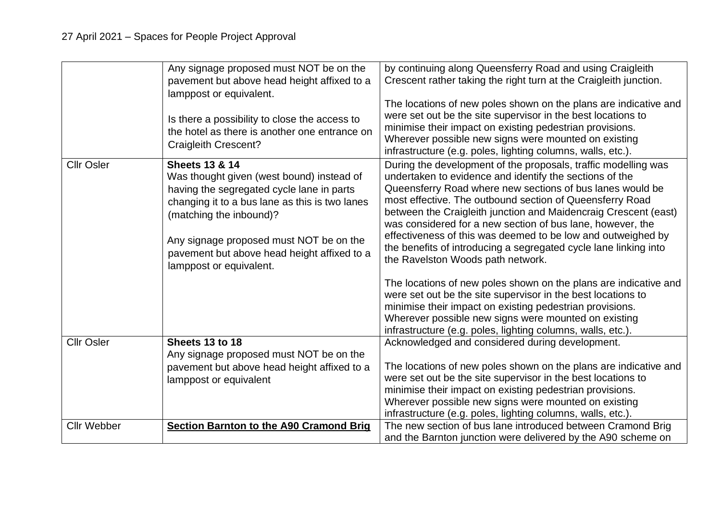|                    | Any signage proposed must NOT be on the<br>pavement but above head height affixed to a<br>lamppost or equivalent.<br>Is there a possibility to close the access to<br>the hotel as there is another one entrance on<br><b>Craigleith Crescent?</b>                                                                    | by continuing along Queensferry Road and using Craigleith<br>Crescent rather taking the right turn at the Craigleith junction.<br>The locations of new poles shown on the plans are indicative and<br>were set out be the site supervisor in the best locations to<br>minimise their impact on existing pedestrian provisions.<br>Wherever possible new signs were mounted on existing<br>infrastructure (e.g. poles, lighting columns, walls, etc.).                                                                                                        |
|--------------------|-----------------------------------------------------------------------------------------------------------------------------------------------------------------------------------------------------------------------------------------------------------------------------------------------------------------------|--------------------------------------------------------------------------------------------------------------------------------------------------------------------------------------------------------------------------------------------------------------------------------------------------------------------------------------------------------------------------------------------------------------------------------------------------------------------------------------------------------------------------------------------------------------|
| <b>Cllr Osler</b>  | <b>Sheets 13 &amp; 14</b><br>Was thought given (west bound) instead of<br>having the segregated cycle lane in parts<br>changing it to a bus lane as this is two lanes<br>(matching the inbound)?<br>Any signage proposed must NOT be on the<br>pavement but above head height affixed to a<br>lamppost or equivalent. | During the development of the proposals, traffic modelling was<br>undertaken to evidence and identify the sections of the<br>Queensferry Road where new sections of bus lanes would be<br>most effective. The outbound section of Queensferry Road<br>between the Craigleith junction and Maidencraig Crescent (east)<br>was considered for a new section of bus lane, however, the<br>effectiveness of this was deemed to be low and outweighed by<br>the benefits of introducing a segregated cycle lane linking into<br>the Ravelston Woods path network. |
|                    |                                                                                                                                                                                                                                                                                                                       | The locations of new poles shown on the plans are indicative and<br>were set out be the site supervisor in the best locations to<br>minimise their impact on existing pedestrian provisions.<br>Wherever possible new signs were mounted on existing<br>infrastructure (e.g. poles, lighting columns, walls, etc.).                                                                                                                                                                                                                                          |
| <b>Cllr Osler</b>  | Sheets 13 to 18<br>Any signage proposed must NOT be on the<br>pavement but above head height affixed to a<br>lamppost or equivalent                                                                                                                                                                                   | Acknowledged and considered during development.<br>The locations of new poles shown on the plans are indicative and<br>were set out be the site supervisor in the best locations to<br>minimise their impact on existing pedestrian provisions.<br>Wherever possible new signs were mounted on existing<br>infrastructure (e.g. poles, lighting columns, walls, etc.).                                                                                                                                                                                       |
| <b>Cllr Webber</b> | <b>Section Barnton to the A90 Cramond Brig</b>                                                                                                                                                                                                                                                                        | The new section of bus lane introduced between Cramond Brig<br>and the Barnton junction were delivered by the A90 scheme on                                                                                                                                                                                                                                                                                                                                                                                                                                  |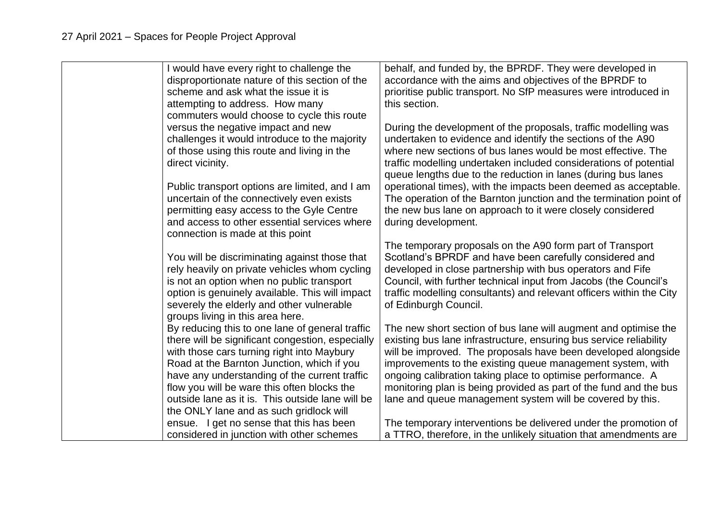| I would have every right to challenge the        | behalf, and funded by, the BPRDF. They were developed in             |
|--------------------------------------------------|----------------------------------------------------------------------|
| disproportionate nature of this section of the   | accordance with the aims and objectives of the BPRDF to              |
| scheme and ask what the issue it is              | prioritise public transport. No SfP measures were introduced in      |
| attempting to address. How many                  | this section.                                                        |
| commuters would choose to cycle this route       |                                                                      |
| versus the negative impact and new               | During the development of the proposals, traffic modelling was       |
| challenges it would introduce to the majority    | undertaken to evidence and identify the sections of the A90          |
| of those using this route and living in the      | where new sections of bus lanes would be most effective. The         |
| direct vicinity.                                 | traffic modelling undertaken included considerations of potential    |
|                                                  |                                                                      |
|                                                  | queue lengths due to the reduction in lanes (during bus lanes        |
| Public transport options are limited, and I am   | operational times), with the impacts been deemed as acceptable.      |
| uncertain of the connectively even exists        | The operation of the Barnton junction and the termination point of   |
| permitting easy access to the Gyle Centre        | the new bus lane on approach to it were closely considered           |
| and access to other essential services where     | during development.                                                  |
| connection is made at this point                 |                                                                      |
|                                                  | The temporary proposals on the A90 form part of Transport            |
| You will be discriminating against those that    | Scotland's BPRDF and have been carefully considered and              |
| rely heavily on private vehicles whom cycling    | developed in close partnership with bus operators and Fife           |
| is not an option when no public transport        | Council, with further technical input from Jacobs (the Council's     |
| option is genuinely available. This will impact  | traffic modelling consultants) and relevant officers within the City |
| severely the elderly and other vulnerable        | of Edinburgh Council.                                                |
| groups living in this area here.                 |                                                                      |
| By reducing this to one lane of general traffic  | The new short section of bus lane will augment and optimise the      |
| there will be significant congestion, especially | existing bus lane infrastructure, ensuring bus service reliability   |
| with those cars turning right into Maybury       | will be improved. The proposals have been developed alongside        |
| Road at the Barnton Junction, which if you       | improvements to the existing queue management system, with           |
| have any understanding of the current traffic    | ongoing calibration taking place to optimise performance. A          |
| flow you will be ware this often blocks the      | monitoring plan is being provided as part of the fund and the bus    |
| outside lane as it is. This outside lane will be | lane and queue management system will be covered by this.            |
| the ONLY lane and as such gridlock will          |                                                                      |
| ensue. I get no sense that this has been         | The temporary interventions be delivered under the promotion of      |
| considered in junction with other schemes        | a TTRO, therefore, in the unlikely situation that amendments are     |
|                                                  |                                                                      |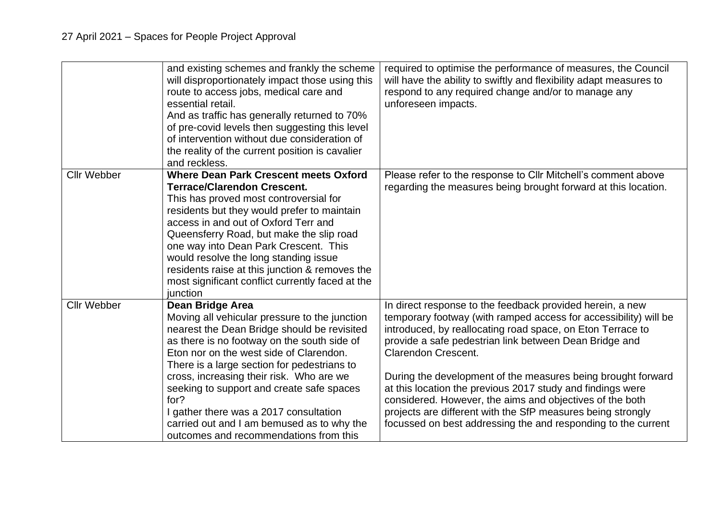|                    | and existing schemes and frankly the scheme<br>will disproportionately impact those using this<br>route to access jobs, medical care and<br>essential retail.<br>And as traffic has generally returned to 70%<br>of pre-covid levels then suggesting this level<br>of intervention without due consideration of<br>the reality of the current position is cavalier<br>and reckless.                                                                                                                 | required to optimise the performance of measures, the Council<br>will have the ability to swiftly and flexibility adapt measures to<br>respond to any required change and/or to manage any<br>unforeseen impacts.                                                                                                                                                                                                                                                                                                                                                                                             |
|--------------------|-----------------------------------------------------------------------------------------------------------------------------------------------------------------------------------------------------------------------------------------------------------------------------------------------------------------------------------------------------------------------------------------------------------------------------------------------------------------------------------------------------|---------------------------------------------------------------------------------------------------------------------------------------------------------------------------------------------------------------------------------------------------------------------------------------------------------------------------------------------------------------------------------------------------------------------------------------------------------------------------------------------------------------------------------------------------------------------------------------------------------------|
| <b>Cllr Webber</b> | <b>Where Dean Park Crescent meets Oxford</b><br><b>Terrace/Clarendon Crescent.</b><br>This has proved most controversial for<br>residents but they would prefer to maintain<br>access in and out of Oxford Terr and<br>Queensferry Road, but make the slip road<br>one way into Dean Park Crescent. This<br>would resolve the long standing issue<br>residents raise at this junction & removes the<br>most significant conflict currently faced at the<br>junction                                 | Please refer to the response to CIIr Mitchell's comment above<br>regarding the measures being brought forward at this location.                                                                                                                                                                                                                                                                                                                                                                                                                                                                               |
| <b>Cllr Webber</b> | <b>Dean Bridge Area</b><br>Moving all vehicular pressure to the junction<br>nearest the Dean Bridge should be revisited<br>as there is no footway on the south side of<br>Eton nor on the west side of Clarendon.<br>There is a large section for pedestrians to<br>cross, increasing their risk. Who are we<br>seeking to support and create safe spaces<br>for?<br>I gather there was a 2017 consultation<br>carried out and I am bemused as to why the<br>outcomes and recommendations from this | In direct response to the feedback provided herein, a new<br>temporary footway (with ramped access for accessibility) will be<br>introduced, by reallocating road space, on Eton Terrace to<br>provide a safe pedestrian link between Dean Bridge and<br><b>Clarendon Crescent.</b><br>During the development of the measures being brought forward<br>at this location the previous 2017 study and findings were<br>considered. However, the aims and objectives of the both<br>projects are different with the SfP measures being strongly<br>focussed on best addressing the and responding to the current |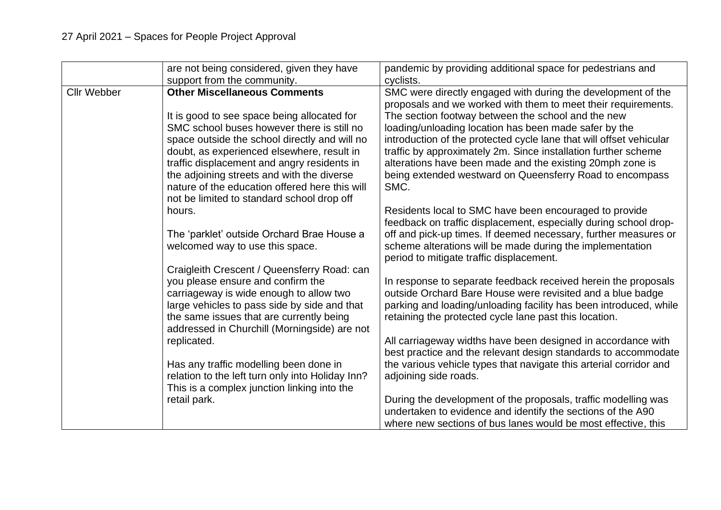|                    | are not being considered, given they have<br>support from the community.                                                                                                                                                                                                                                                                                                                                                               | pandemic by providing additional space for pedestrians and<br>cyclists.                                                                                                                                                                                                                                                                                                                                                                                                                                                                                                          |
|--------------------|----------------------------------------------------------------------------------------------------------------------------------------------------------------------------------------------------------------------------------------------------------------------------------------------------------------------------------------------------------------------------------------------------------------------------------------|----------------------------------------------------------------------------------------------------------------------------------------------------------------------------------------------------------------------------------------------------------------------------------------------------------------------------------------------------------------------------------------------------------------------------------------------------------------------------------------------------------------------------------------------------------------------------------|
| <b>Cllr Webber</b> | <b>Other Miscellaneous Comments</b><br>It is good to see space being allocated for<br>SMC school buses however there is still no<br>space outside the school directly and will no<br>doubt, as experienced elsewhere, result in<br>traffic displacement and angry residents in<br>the adjoining streets and with the diverse<br>nature of the education offered here this will<br>not be limited to standard school drop off<br>hours. | SMC were directly engaged with during the development of the<br>proposals and we worked with them to meet their requirements.<br>The section footway between the school and the new<br>loading/unloading location has been made safer by the<br>introduction of the protected cycle lane that will offset vehicular<br>traffic by approximately 2m. Since installation further scheme<br>alterations have been made and the existing 20mph zone is<br>being extended westward on Queensferry Road to encompass<br>SMC.<br>Residents local to SMC have been encouraged to provide |
|                    | The 'parklet' outside Orchard Brae House a<br>welcomed way to use this space.                                                                                                                                                                                                                                                                                                                                                          | feedback on traffic displacement, especially during school drop-<br>off and pick-up times. If deemed necessary, further measures or<br>scheme alterations will be made during the implementation<br>period to mitigate traffic displacement.                                                                                                                                                                                                                                                                                                                                     |
|                    | Craigleith Crescent / Queensferry Road: can<br>you please ensure and confirm the<br>carriageway is wide enough to allow two<br>large vehicles to pass side by side and that<br>the same issues that are currently being<br>addressed in Churchill (Morningside) are not                                                                                                                                                                | In response to separate feedback received herein the proposals<br>outside Orchard Bare House were revisited and a blue badge<br>parking and loading/unloading facility has been introduced, while<br>retaining the protected cycle lane past this location.                                                                                                                                                                                                                                                                                                                      |
|                    | replicated.<br>Has any traffic modelling been done in                                                                                                                                                                                                                                                                                                                                                                                  | All carriageway widths have been designed in accordance with<br>best practice and the relevant design standards to accommodate<br>the various vehicle types that navigate this arterial corridor and                                                                                                                                                                                                                                                                                                                                                                             |
|                    | relation to the left turn only into Holiday Inn?<br>This is a complex junction linking into the                                                                                                                                                                                                                                                                                                                                        | adjoining side roads.                                                                                                                                                                                                                                                                                                                                                                                                                                                                                                                                                            |
|                    | retail park.                                                                                                                                                                                                                                                                                                                                                                                                                           | During the development of the proposals, traffic modelling was<br>undertaken to evidence and identify the sections of the A90<br>where new sections of bus lanes would be most effective, this                                                                                                                                                                                                                                                                                                                                                                                   |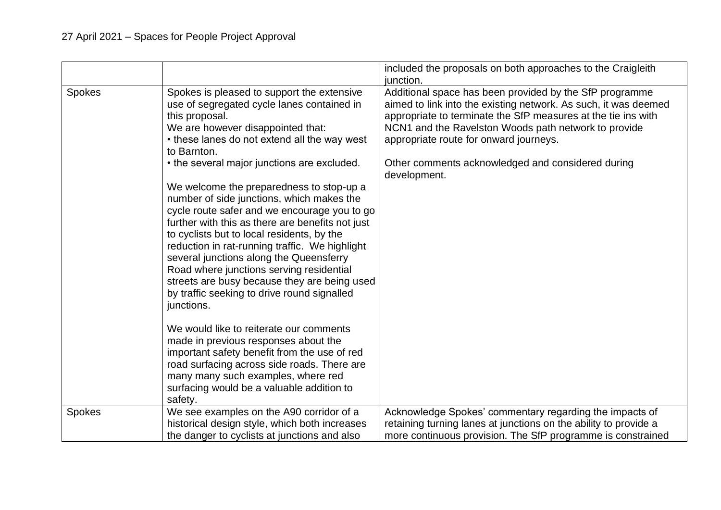|               |                                                                                                                                                                                                                                                                                                                                                                                                                                                                                               | included the proposals on both approaches to the Craigleith<br>junction.                                                                                                                                                                                                                      |
|---------------|-----------------------------------------------------------------------------------------------------------------------------------------------------------------------------------------------------------------------------------------------------------------------------------------------------------------------------------------------------------------------------------------------------------------------------------------------------------------------------------------------|-----------------------------------------------------------------------------------------------------------------------------------------------------------------------------------------------------------------------------------------------------------------------------------------------|
| <b>Spokes</b> | Spokes is pleased to support the extensive<br>use of segregated cycle lanes contained in<br>this proposal.<br>We are however disappointed that:<br>• these lanes do not extend all the way west<br>to Barnton.                                                                                                                                                                                                                                                                                | Additional space has been provided by the SfP programme<br>aimed to link into the existing network. As such, it was deemed<br>appropriate to terminate the SfP measures at the tie ins with<br>NCN1 and the Ravelston Woods path network to provide<br>appropriate route for onward journeys. |
|               | • the several major junctions are excluded.                                                                                                                                                                                                                                                                                                                                                                                                                                                   | Other comments acknowledged and considered during<br>development.                                                                                                                                                                                                                             |
|               | We welcome the preparedness to stop-up a<br>number of side junctions, which makes the<br>cycle route safer and we encourage you to go<br>further with this as there are benefits not just<br>to cyclists but to local residents, by the<br>reduction in rat-running traffic. We highlight<br>several junctions along the Queensferry<br>Road where junctions serving residential<br>streets are busy because they are being used<br>by traffic seeking to drive round signalled<br>junctions. |                                                                                                                                                                                                                                                                                               |
|               | We would like to reiterate our comments<br>made in previous responses about the<br>important safety benefit from the use of red<br>road surfacing across side roads. There are<br>many many such examples, where red<br>surfacing would be a valuable addition to<br>safety.                                                                                                                                                                                                                  |                                                                                                                                                                                                                                                                                               |
| <b>Spokes</b> | We see examples on the A90 corridor of a<br>historical design style, which both increases<br>the danger to cyclists at junctions and also                                                                                                                                                                                                                                                                                                                                                     | Acknowledge Spokes' commentary regarding the impacts of<br>retaining turning lanes at junctions on the ability to provide a<br>more continuous provision. The SfP programme is constrained                                                                                                    |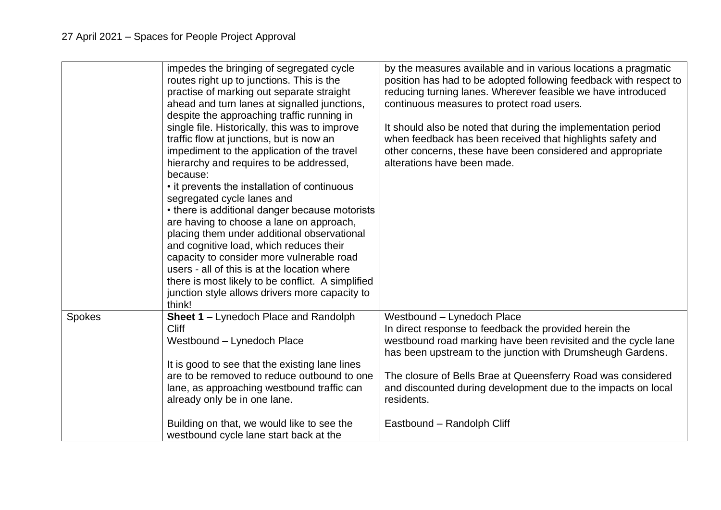|        | impedes the bringing of segregated cycle<br>routes right up to junctions. This is the<br>practise of marking out separate straight<br>ahead and turn lanes at signalled junctions,<br>despite the approaching traffic running in<br>single file. Historically, this was to improve<br>traffic flow at junctions, but is now an<br>impediment to the application of the travel<br>hierarchy and requires to be addressed,<br>because:<br>• it prevents the installation of continuous<br>segregated cycle lanes and<br>• there is additional danger because motorists<br>are having to choose a lane on approach,<br>placing them under additional observational<br>and cognitive load, which reduces their<br>capacity to consider more vulnerable road<br>users - all of this is at the location where<br>there is most likely to be conflict. A simplified<br>junction style allows drivers more capacity to<br>think! | by the measures available and in various locations a pragmatic<br>position has had to be adopted following feedback with respect to<br>reducing turning lanes. Wherever feasible we have introduced<br>continuous measures to protect road users.<br>It should also be noted that during the implementation period<br>when feedback has been received that highlights safety and<br>other concerns, these have been considered and appropriate<br>alterations have been made. |
|--------|--------------------------------------------------------------------------------------------------------------------------------------------------------------------------------------------------------------------------------------------------------------------------------------------------------------------------------------------------------------------------------------------------------------------------------------------------------------------------------------------------------------------------------------------------------------------------------------------------------------------------------------------------------------------------------------------------------------------------------------------------------------------------------------------------------------------------------------------------------------------------------------------------------------------------|-------------------------------------------------------------------------------------------------------------------------------------------------------------------------------------------------------------------------------------------------------------------------------------------------------------------------------------------------------------------------------------------------------------------------------------------------------------------------------|
| Spokes | Sheet 1 - Lynedoch Place and Randolph<br><b>Cliff</b>                                                                                                                                                                                                                                                                                                                                                                                                                                                                                                                                                                                                                                                                                                                                                                                                                                                                    | Westbound - Lynedoch Place<br>In direct response to feedback the provided herein the                                                                                                                                                                                                                                                                                                                                                                                          |
|        | Westbound - Lynedoch Place                                                                                                                                                                                                                                                                                                                                                                                                                                                                                                                                                                                                                                                                                                                                                                                                                                                                                               | westbound road marking have been revisited and the cycle lane<br>has been upstream to the junction with Drumsheugh Gardens.                                                                                                                                                                                                                                                                                                                                                   |
|        | It is good to see that the existing lane lines                                                                                                                                                                                                                                                                                                                                                                                                                                                                                                                                                                                                                                                                                                                                                                                                                                                                           |                                                                                                                                                                                                                                                                                                                                                                                                                                                                               |
|        | are to be removed to reduce outbound to one<br>lane, as approaching westbound traffic can                                                                                                                                                                                                                                                                                                                                                                                                                                                                                                                                                                                                                                                                                                                                                                                                                                | The closure of Bells Brae at Queensferry Road was considered<br>and discounted during development due to the impacts on local                                                                                                                                                                                                                                                                                                                                                 |
|        | already only be in one lane.                                                                                                                                                                                                                                                                                                                                                                                                                                                                                                                                                                                                                                                                                                                                                                                                                                                                                             | residents.                                                                                                                                                                                                                                                                                                                                                                                                                                                                    |
|        |                                                                                                                                                                                                                                                                                                                                                                                                                                                                                                                                                                                                                                                                                                                                                                                                                                                                                                                          |                                                                                                                                                                                                                                                                                                                                                                                                                                                                               |
|        | Building on that, we would like to see the                                                                                                                                                                                                                                                                                                                                                                                                                                                                                                                                                                                                                                                                                                                                                                                                                                                                               | Eastbound - Randolph Cliff                                                                                                                                                                                                                                                                                                                                                                                                                                                    |
|        | westbound cycle lane start back at the                                                                                                                                                                                                                                                                                                                                                                                                                                                                                                                                                                                                                                                                                                                                                                                                                                                                                   |                                                                                                                                                                                                                                                                                                                                                                                                                                                                               |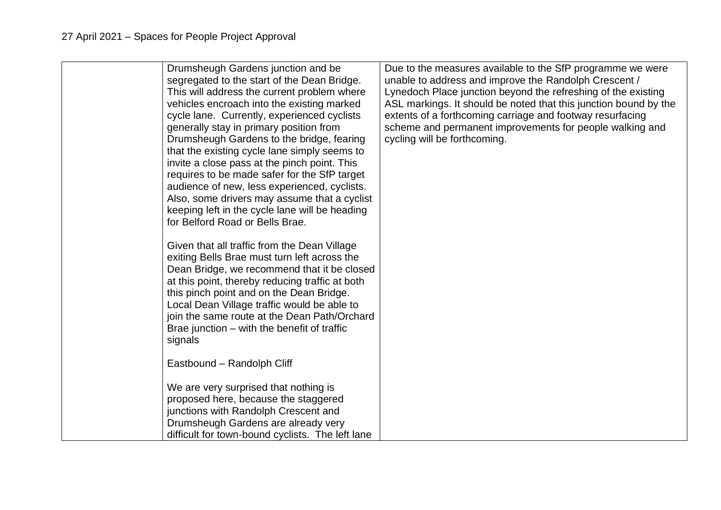| Drumsheugh Gardens junction and be<br>segregated to the start of the Dean Bridge.<br>This will address the current problem where<br>vehicles encroach into the existing marked<br>cycle lane. Currently, experienced cyclists<br>generally stay in primary position from<br>Drumsheugh Gardens to the bridge, fearing<br>that the existing cycle lane simply seems to<br>invite a close pass at the pinch point. This<br>requires to be made safer for the SfP target<br>audience of new, less experienced, cyclists.<br>Also, some drivers may assume that a cyclist<br>keeping left in the cycle lane will be heading<br>for Belford Road or Bells Brae.<br>Given that all traffic from the Dean Village<br>exiting Bells Brae must turn left across the<br>Dean Bridge, we recommend that it be closed<br>at this point, thereby reducing traffic at both<br>this pinch point and on the Dean Bridge.<br>Local Dean Village traffic would be able to | Due to the measures available to the SfP programme we were<br>unable to address and improve the Randolph Crescent /<br>Lynedoch Place junction beyond the refreshing of the existing<br>ASL markings. It should be noted that this junction bound by the<br>extents of a forthcoming carriage and footway resurfacing<br>scheme and permanent improvements for people walking and<br>cycling will be forthcoming. |
|---------------------------------------------------------------------------------------------------------------------------------------------------------------------------------------------------------------------------------------------------------------------------------------------------------------------------------------------------------------------------------------------------------------------------------------------------------------------------------------------------------------------------------------------------------------------------------------------------------------------------------------------------------------------------------------------------------------------------------------------------------------------------------------------------------------------------------------------------------------------------------------------------------------------------------------------------------|-------------------------------------------------------------------------------------------------------------------------------------------------------------------------------------------------------------------------------------------------------------------------------------------------------------------------------------------------------------------------------------------------------------------|
| join the same route at the Dean Path/Orchard<br>Brae junction – with the benefit of traffic<br>signals                                                                                                                                                                                                                                                                                                                                                                                                                                                                                                                                                                                                                                                                                                                                                                                                                                                  |                                                                                                                                                                                                                                                                                                                                                                                                                   |
| Eastbound - Randolph Cliff                                                                                                                                                                                                                                                                                                                                                                                                                                                                                                                                                                                                                                                                                                                                                                                                                                                                                                                              |                                                                                                                                                                                                                                                                                                                                                                                                                   |
| We are very surprised that nothing is<br>proposed here, because the staggered<br>junctions with Randolph Crescent and<br>Drumsheugh Gardens are already very<br>difficult for town-bound cyclists. The left lane                                                                                                                                                                                                                                                                                                                                                                                                                                                                                                                                                                                                                                                                                                                                        |                                                                                                                                                                                                                                                                                                                                                                                                                   |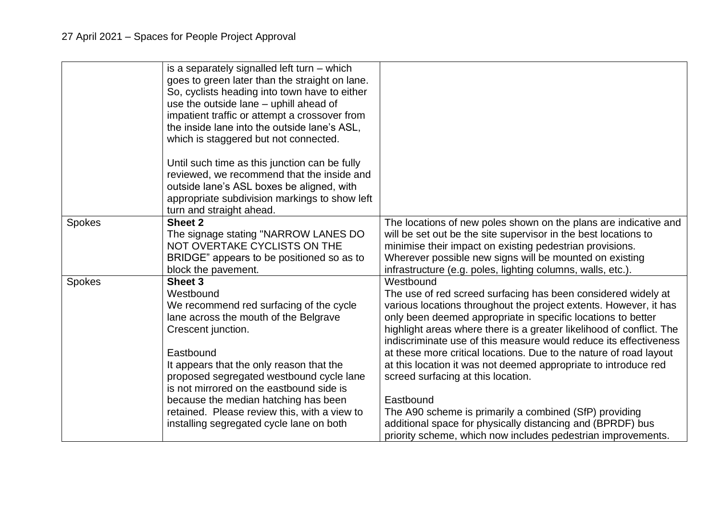|               | is a separately signalled left turn $-$ which<br>goes to green later than the straight on lane.<br>So, cyclists heading into town have to either<br>use the outside lane – uphill ahead of<br>impatient traffic or attempt a crossover from<br>the inside lane into the outside lane's ASL,<br>which is staggered but not connected.<br>Until such time as this junction can be fully<br>reviewed, we recommend that the inside and<br>outside lane's ASL boxes be aligned, with<br>appropriate subdivision markings to show left<br>turn and straight ahead. |                                                                                                                                                                                                                                                                                                                                                                                                                                                                                                                                                                                                                                                                                                                                                  |
|---------------|---------------------------------------------------------------------------------------------------------------------------------------------------------------------------------------------------------------------------------------------------------------------------------------------------------------------------------------------------------------------------------------------------------------------------------------------------------------------------------------------------------------------------------------------------------------|--------------------------------------------------------------------------------------------------------------------------------------------------------------------------------------------------------------------------------------------------------------------------------------------------------------------------------------------------------------------------------------------------------------------------------------------------------------------------------------------------------------------------------------------------------------------------------------------------------------------------------------------------------------------------------------------------------------------------------------------------|
| <b>Spokes</b> | Sheet 2<br>The signage stating "NARROW LANES DO<br>NOT OVERTAKE CYCLISTS ON THE<br>BRIDGE" appears to be positioned so as to<br>block the pavement.                                                                                                                                                                                                                                                                                                                                                                                                           | The locations of new poles shown on the plans are indicative and<br>will be set out be the site supervisor in the best locations to<br>minimise their impact on existing pedestrian provisions.<br>Wherever possible new signs will be mounted on existing<br>infrastructure (e.g. poles, lighting columns, walls, etc.).                                                                                                                                                                                                                                                                                                                                                                                                                        |
| Spokes        | Sheet 3<br>Westbound<br>We recommend red surfacing of the cycle<br>lane across the mouth of the Belgrave<br>Crescent junction.<br>Eastbound<br>It appears that the only reason that the<br>proposed segregated westbound cycle lane<br>is not mirrored on the eastbound side is<br>because the median hatching has been<br>retained. Please review this, with a view to<br>installing segregated cycle lane on both                                                                                                                                           | Westbound<br>The use of red screed surfacing has been considered widely at<br>various locations throughout the project extents. However, it has<br>only been deemed appropriate in specific locations to better<br>highlight areas where there is a greater likelihood of conflict. The<br>indiscriminate use of this measure would reduce its effectiveness<br>at these more critical locations. Due to the nature of road layout<br>at this location it was not deemed appropriate to introduce red<br>screed surfacing at this location.<br>Eastbound<br>The A90 scheme is primarily a combined (SfP) providing<br>additional space for physically distancing and (BPRDF) bus<br>priority scheme, which now includes pedestrian improvements. |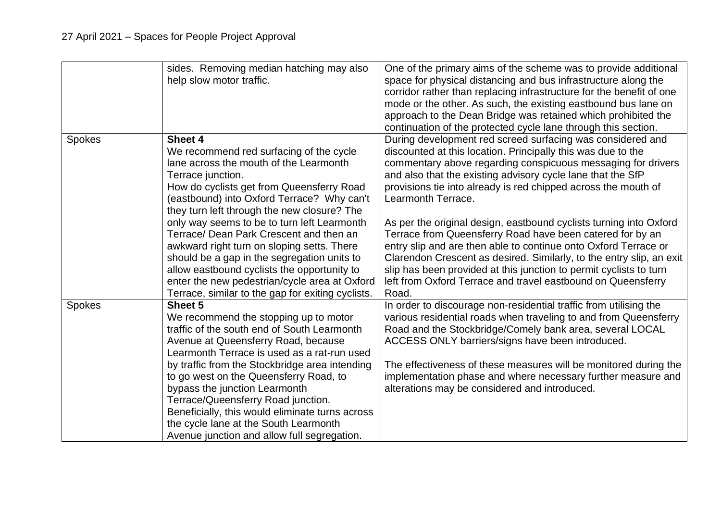|               | sides. Removing median hatching may also<br>help slow motor traffic.                                                                                                                                                                                                                                                                                                                                                                                                                                | One of the primary aims of the scheme was to provide additional<br>space for physical distancing and bus infrastructure along the<br>corridor rather than replacing infrastructure for the benefit of one<br>mode or the other. As such, the existing eastbound bus lane on<br>approach to the Dean Bridge was retained which prohibited the<br>continuation of the protected cycle lane through this section.                             |
|---------------|-----------------------------------------------------------------------------------------------------------------------------------------------------------------------------------------------------------------------------------------------------------------------------------------------------------------------------------------------------------------------------------------------------------------------------------------------------------------------------------------------------|--------------------------------------------------------------------------------------------------------------------------------------------------------------------------------------------------------------------------------------------------------------------------------------------------------------------------------------------------------------------------------------------------------------------------------------------|
| <b>Spokes</b> | Sheet 4<br>We recommend red surfacing of the cycle<br>lane across the mouth of the Learmonth<br>Terrace junction.<br>How do cyclists get from Queensferry Road<br>(eastbound) into Oxford Terrace? Why can't<br>they turn left through the new closure? The                                                                                                                                                                                                                                         | During development red screed surfacing was considered and<br>discounted at this location. Principally this was due to the<br>commentary above regarding conspicuous messaging for drivers<br>and also that the existing advisory cycle lane that the SfP<br>provisions tie into already is red chipped across the mouth of<br>Learmonth Terrace.                                                                                          |
|               | only way seems to be to turn left Learmonth<br>Terrace/ Dean Park Crescent and then an<br>awkward right turn on sloping setts. There<br>should be a gap in the segregation units to<br>allow eastbound cyclists the opportunity to<br>enter the new pedestrian/cycle area at Oxford<br>Terrace, similar to the gap for exiting cyclists.                                                                                                                                                            | As per the original design, eastbound cyclists turning into Oxford<br>Terrace from Queensferry Road have been catered for by an<br>entry slip and are then able to continue onto Oxford Terrace or<br>Clarendon Crescent as desired. Similarly, to the entry slip, an exit<br>slip has been provided at this junction to permit cyclists to turn<br>left from Oxford Terrace and travel eastbound on Queensferry<br>Road.                  |
| <b>Spokes</b> | Sheet 5<br>We recommend the stopping up to motor<br>traffic of the south end of South Learmonth<br>Avenue at Queensferry Road, because<br>Learmonth Terrace is used as a rat-run used<br>by traffic from the Stockbridge area intending<br>to go west on the Queensferry Road, to<br>bypass the junction Learmonth<br>Terrace/Queensferry Road junction.<br>Beneficially, this would eliminate turns across<br>the cycle lane at the South Learmonth<br>Avenue junction and allow full segregation. | In order to discourage non-residential traffic from utilising the<br>various residential roads when traveling to and from Queensferry<br>Road and the Stockbridge/Comely bank area, several LOCAL<br>ACCESS ONLY barriers/signs have been introduced.<br>The effectiveness of these measures will be monitored during the<br>implementation phase and where necessary further measure and<br>alterations may be considered and introduced. |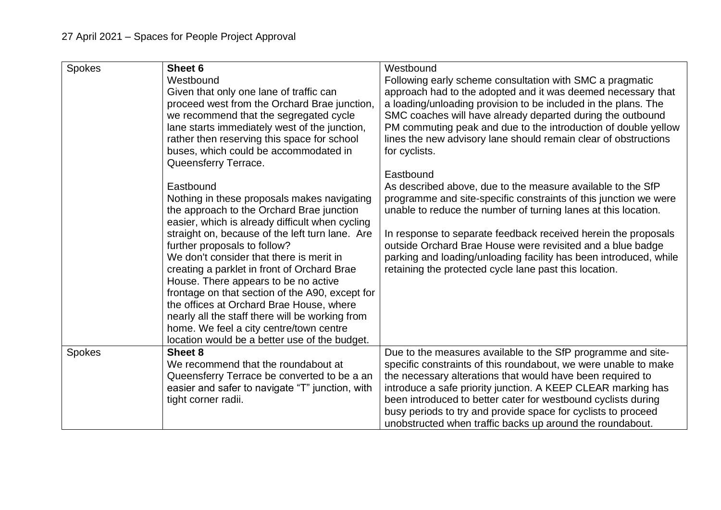| <b>Spokes</b> | Sheet 6<br>Westbound<br>Given that only one lane of traffic can<br>proceed west from the Orchard Brae junction,<br>we recommend that the segregated cycle<br>lane starts immediately west of the junction,<br>rather then reserving this space for school<br>buses, which could be accommodated in                                                                                                                                                                                                                                                                                                                                                   | Westbound<br>Following early scheme consultation with SMC a pragmatic<br>approach had to the adopted and it was deemed necessary that<br>a loading/unloading provision to be included in the plans. The<br>SMC coaches will have already departed during the outbound<br>PM commuting peak and due to the introduction of double yellow<br>lines the new advisory lane should remain clear of obstructions<br>for cyclists.                                                   |
|---------------|------------------------------------------------------------------------------------------------------------------------------------------------------------------------------------------------------------------------------------------------------------------------------------------------------------------------------------------------------------------------------------------------------------------------------------------------------------------------------------------------------------------------------------------------------------------------------------------------------------------------------------------------------|-------------------------------------------------------------------------------------------------------------------------------------------------------------------------------------------------------------------------------------------------------------------------------------------------------------------------------------------------------------------------------------------------------------------------------------------------------------------------------|
|               | Queensferry Terrace.<br>Eastbound<br>Nothing in these proposals makes navigating<br>the approach to the Orchard Brae junction<br>easier, which is already difficult when cycling<br>straight on, because of the left turn lane. Are<br>further proposals to follow?<br>We don't consider that there is merit in<br>creating a parklet in front of Orchard Brae<br>House. There appears to be no active<br>frontage on that section of the A90, except for<br>the offices at Orchard Brae House, where<br>nearly all the staff there will be working from<br>home. We feel a city centre/town centre<br>location would be a better use of the budget. | Eastbound<br>As described above, due to the measure available to the SfP<br>programme and site-specific constraints of this junction we were<br>unable to reduce the number of turning lanes at this location.<br>In response to separate feedback received herein the proposals<br>outside Orchard Brae House were revisited and a blue badge<br>parking and loading/unloading facility has been introduced, while<br>retaining the protected cycle lane past this location. |
| <b>Spokes</b> | Sheet 8<br>We recommend that the roundabout at<br>Queensferry Terrace be converted to be a an<br>easier and safer to navigate "T" junction, with<br>tight corner radii.                                                                                                                                                                                                                                                                                                                                                                                                                                                                              | Due to the measures available to the SfP programme and site-<br>specific constraints of this roundabout, we were unable to make<br>the necessary alterations that would have been required to<br>introduce a safe priority junction. A KEEP CLEAR marking has<br>been introduced to better cater for westbound cyclists during<br>busy periods to try and provide space for cyclists to proceed<br>unobstructed when traffic backs up around the roundabout.                  |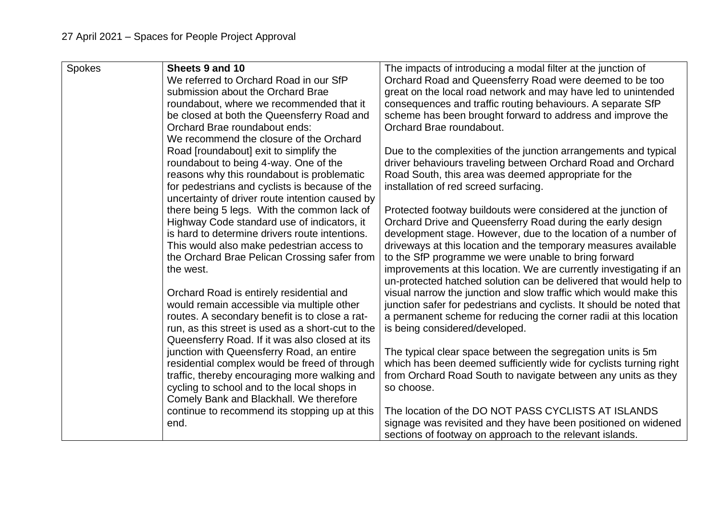| Spokes | Sheets 9 and 10                                   | The impacts of introducing a modal filter at the junction of         |
|--------|---------------------------------------------------|----------------------------------------------------------------------|
|        | We referred to Orchard Road in our SfP            | Orchard Road and Queensferry Road were deemed to be too              |
|        | submission about the Orchard Brae                 | great on the local road network and may have led to unintended       |
|        | roundabout, where we recommended that it          | consequences and traffic routing behaviours. A separate SfP          |
|        | be closed at both the Queensferry Road and        | scheme has been brought forward to address and improve the           |
|        | Orchard Brae roundabout ends:                     | Orchard Brae roundabout.                                             |
|        | We recommend the closure of the Orchard           |                                                                      |
|        | Road [roundabout] exit to simplify the            | Due to the complexities of the junction arrangements and typical     |
|        | roundabout to being 4-way. One of the             | driver behaviours traveling between Orchard Road and Orchard         |
|        | reasons why this roundabout is problematic        | Road South, this area was deemed appropriate for the                 |
|        | for pedestrians and cyclists is because of the    | installation of red screed surfacing.                                |
|        | uncertainty of driver route intention caused by   |                                                                      |
|        | there being 5 legs. With the common lack of       | Protected footway buildouts were considered at the junction of       |
|        | Highway Code standard use of indicators, it       | Orchard Drive and Queensferry Road during the early design           |
|        | is hard to determine drivers route intentions.    | development stage. However, due to the location of a number of       |
|        | This would also make pedestrian access to         | driveways at this location and the temporary measures available      |
|        | the Orchard Brae Pelican Crossing safer from      | to the SfP programme we were unable to bring forward                 |
|        | the west.                                         | improvements at this location. We are currently investigating if an  |
|        |                                                   | un-protected hatched solution can be delivered that would help to    |
|        | Orchard Road is entirely residential and          | visual narrow the junction and slow traffic which would make this    |
|        | would remain accessible via multiple other        | junction safer for pedestrians and cyclists. It should be noted that |
|        | routes. A secondary benefit is to close a rat-    | a permanent scheme for reducing the corner radii at this location    |
|        | run, as this street is used as a short-cut to the | is being considered/developed.                                       |
|        | Queensferry Road. If it was also closed at its    |                                                                      |
|        | junction with Queensferry Road, an entire         | The typical clear space between the segregation units is 5m          |
|        | residential complex would be freed of through     | which has been deemed sufficiently wide for cyclists turning right   |
|        | traffic, thereby encouraging more walking and     | from Orchard Road South to navigate between any units as they        |
|        | cycling to school and to the local shops in       | so choose.                                                           |
|        | Comely Bank and Blackhall. We therefore           |                                                                      |
|        | continue to recommend its stopping up at this     | The location of the DO NOT PASS CYCLISTS AT ISLANDS                  |
|        | end.                                              | signage was revisited and they have been positioned on widened       |
|        |                                                   | sections of footway on approach to the relevant islands.             |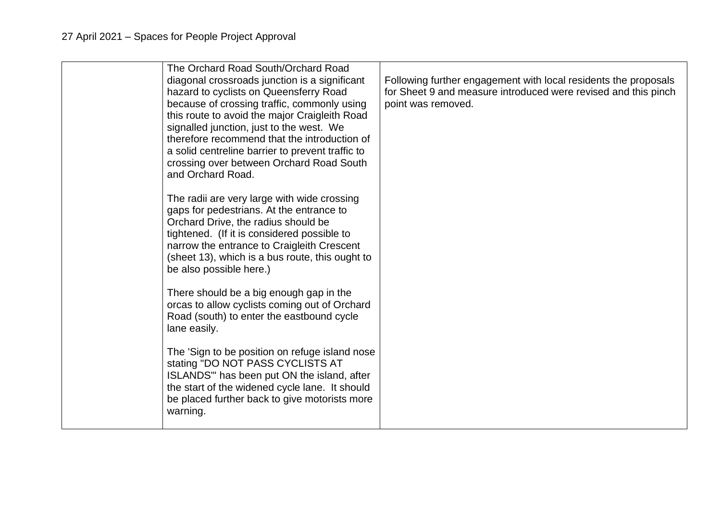| The Orchard Road South/Orchard Road<br>diagonal crossroads junction is a significant<br>hazard to cyclists on Queensferry Road<br>because of crossing traffic, commonly using<br>this route to avoid the major Craigleith Road<br>signalled junction, just to the west. We<br>therefore recommend that the introduction of<br>a solid centreline barrier to prevent traffic to<br>crossing over between Orchard Road South<br>and Orchard Road. | Following further engagement with local residents the proposals<br>for Sheet 9 and measure introduced were revised and this pinch<br>point was removed. |
|-------------------------------------------------------------------------------------------------------------------------------------------------------------------------------------------------------------------------------------------------------------------------------------------------------------------------------------------------------------------------------------------------------------------------------------------------|---------------------------------------------------------------------------------------------------------------------------------------------------------|
| The radii are very large with wide crossing<br>gaps for pedestrians. At the entrance to<br>Orchard Drive, the radius should be<br>tightened. (If it is considered possible to<br>narrow the entrance to Craigleith Crescent<br>(sheet 13), which is a bus route, this ought to<br>be also possible here.)                                                                                                                                       |                                                                                                                                                         |
| There should be a big enough gap in the<br>orcas to allow cyclists coming out of Orchard<br>Road (south) to enter the eastbound cycle<br>lane easily.                                                                                                                                                                                                                                                                                           |                                                                                                                                                         |
| The 'Sign to be position on refuge island nose<br>stating "DO NOT PASS CYCLISTS AT<br>ISLANDS" has been put ON the island, after<br>the start of the widened cycle lane. It should<br>be placed further back to give motorists more<br>warning.                                                                                                                                                                                                 |                                                                                                                                                         |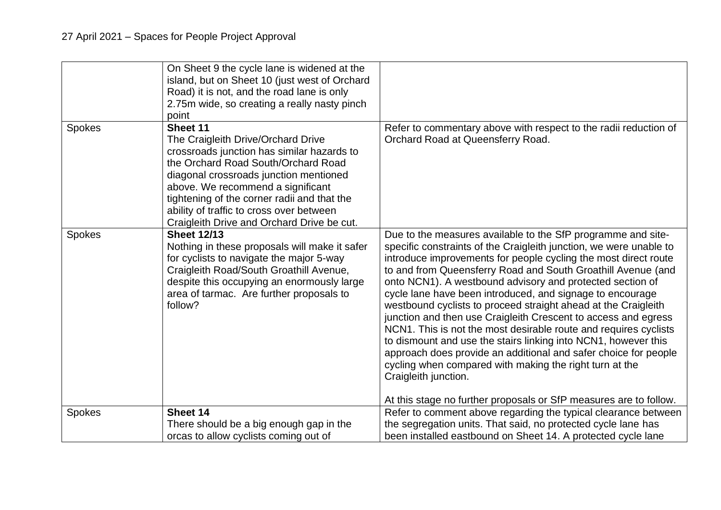| On Sheet 9 the cycle lane is widened at the<br>island, but on Sheet 10 (just west of Orchard<br>Road) it is not, and the road lane is only<br>2.75m wide, so creating a really nasty pinch<br>point                                                                                                                                                                                                                                                                                                                                                                                                                                                                                                                                                                                                                                                                                                                                                                                                                                                                                                                                                                                      |  |
|------------------------------------------------------------------------------------------------------------------------------------------------------------------------------------------------------------------------------------------------------------------------------------------------------------------------------------------------------------------------------------------------------------------------------------------------------------------------------------------------------------------------------------------------------------------------------------------------------------------------------------------------------------------------------------------------------------------------------------------------------------------------------------------------------------------------------------------------------------------------------------------------------------------------------------------------------------------------------------------------------------------------------------------------------------------------------------------------------------------------------------------------------------------------------------------|--|
| Sheet 11<br>Refer to commentary above with respect to the radii reduction of<br><b>Spokes</b><br>Orchard Road at Queensferry Road.<br>The Craigleith Drive/Orchard Drive<br>crossroads junction has similar hazards to<br>the Orchard Road South/Orchard Road<br>diagonal crossroads junction mentioned<br>above. We recommend a significant<br>tightening of the corner radii and that the<br>ability of traffic to cross over between<br>Craigleith Drive and Orchard Drive be cut.                                                                                                                                                                                                                                                                                                                                                                                                                                                                                                                                                                                                                                                                                                    |  |
| <b>Sheet 12/13</b><br><b>Spokes</b><br>Due to the measures available to the SfP programme and site-<br>Nothing in these proposals will make it safer<br>specific constraints of the Craigleith junction, we were unable to<br>for cyclists to navigate the major 5-way<br>introduce improvements for people cycling the most direct route<br>Craigleith Road/South Groathill Avenue,<br>to and from Queensferry Road and South Groathill Avenue (and<br>despite this occupying an enormously large<br>onto NCN1). A westbound advisory and protected section of<br>area of tarmac. Are further proposals to<br>cycle lane have been introduced, and signage to encourage<br>follow?<br>westbound cyclists to proceed straight ahead at the Craigleith<br>junction and then use Craigleith Crescent to access and egress<br>NCN1. This is not the most desirable route and requires cyclists<br>to dismount and use the stairs linking into NCN1, however this<br>approach does provide an additional and safer choice for people<br>cycling when compared with making the right turn at the<br>Craigleith junction.<br>At this stage no further proposals or SfP measures are to follow. |  |
| Sheet 14<br><b>Spokes</b><br>Refer to comment above regarding the typical clearance between                                                                                                                                                                                                                                                                                                                                                                                                                                                                                                                                                                                                                                                                                                                                                                                                                                                                                                                                                                                                                                                                                              |  |
| There should be a big enough gap in the<br>the segregation units. That said, no protected cycle lane has<br>been installed eastbound on Sheet 14. A protected cycle lane<br>orcas to allow cyclists coming out of                                                                                                                                                                                                                                                                                                                                                                                                                                                                                                                                                                                                                                                                                                                                                                                                                                                                                                                                                                        |  |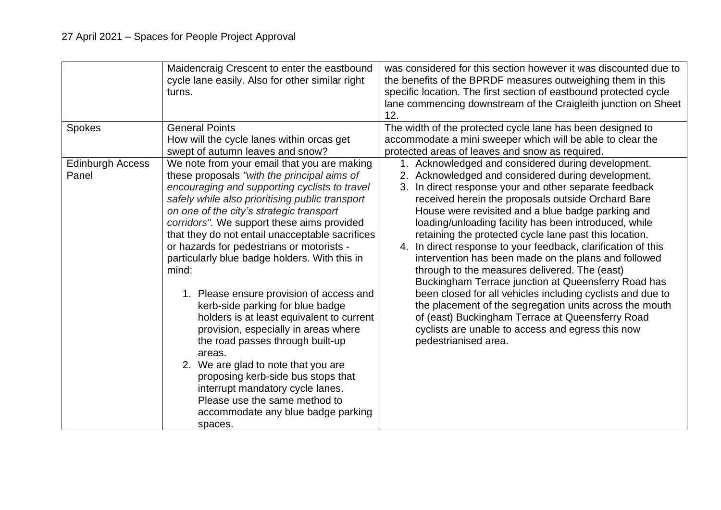| <b>Spokes</b>                    | Maidencraig Crescent to enter the eastbound<br>cycle lane easily. Also for other similar right<br>turns.<br><b>General Points</b>                                                                                                                                                                                                                                                                                                                                                                                                                                                                                                                                                                                                                                                                                                                                        | was considered for this section however it was discounted due to<br>the benefits of the BPRDF measures outweighing them in this<br>specific location. The first section of eastbound protected cycle<br>lane commencing downstream of the Craigleith junction on Sheet<br>12.<br>The width of the protected cycle lane has been designed to                                                                                                                                                                                                                                                                                                                                                                                                                                                                                                                                                 |
|----------------------------------|--------------------------------------------------------------------------------------------------------------------------------------------------------------------------------------------------------------------------------------------------------------------------------------------------------------------------------------------------------------------------------------------------------------------------------------------------------------------------------------------------------------------------------------------------------------------------------------------------------------------------------------------------------------------------------------------------------------------------------------------------------------------------------------------------------------------------------------------------------------------------|---------------------------------------------------------------------------------------------------------------------------------------------------------------------------------------------------------------------------------------------------------------------------------------------------------------------------------------------------------------------------------------------------------------------------------------------------------------------------------------------------------------------------------------------------------------------------------------------------------------------------------------------------------------------------------------------------------------------------------------------------------------------------------------------------------------------------------------------------------------------------------------------|
|                                  | How will the cycle lanes within orcas get<br>swept of autumn leaves and snow?                                                                                                                                                                                                                                                                                                                                                                                                                                                                                                                                                                                                                                                                                                                                                                                            | accommodate a mini sweeper which will be able to clear the<br>protected areas of leaves and snow as required.                                                                                                                                                                                                                                                                                                                                                                                                                                                                                                                                                                                                                                                                                                                                                                               |
| <b>Edinburgh Access</b><br>Panel | We note from your email that you are making<br>these proposals "with the principal aims of<br>encouraging and supporting cyclists to travel<br>safely while also prioritising public transport<br>on one of the city's strategic transport<br>corridors". We support these aims provided<br>that they do not entail unacceptable sacrifices<br>or hazards for pedestrians or motorists -<br>particularly blue badge holders. With this in<br>mind:<br>1. Please ensure provision of access and<br>kerb-side parking for blue badge<br>holders is at least equivalent to current<br>provision, especially in areas where<br>the road passes through built-up<br>areas.<br>2. We are glad to note that you are<br>proposing kerb-side bus stops that<br>interrupt mandatory cycle lanes.<br>Please use the same method to<br>accommodate any blue badge parking<br>spaces. | 1. Acknowledged and considered during development.<br>2. Acknowledged and considered during development.<br>3. In direct response your and other separate feedback<br>received herein the proposals outside Orchard Bare<br>House were revisited and a blue badge parking and<br>loading/unloading facility has been introduced, while<br>retaining the protected cycle lane past this location.<br>4. In direct response to your feedback, clarification of this<br>intervention has been made on the plans and followed<br>through to the measures delivered. The (east)<br>Buckingham Terrace junction at Queensferry Road has<br>been closed for all vehicles including cyclists and due to<br>the placement of the segregation units across the mouth<br>of (east) Buckingham Terrace at Queensferry Road<br>cyclists are unable to access and egress this now<br>pedestrianised area. |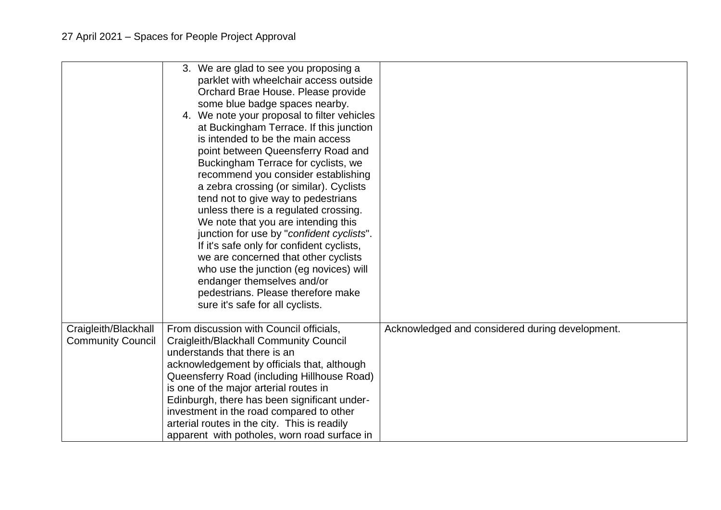|                                                  | 3. We are glad to see you proposing a<br>parklet with wheelchair access outside<br>Orchard Brae House. Please provide<br>some blue badge spaces nearby.<br>4. We note your proposal to filter vehicles<br>at Buckingham Terrace. If this junction<br>is intended to be the main access<br>point between Queensferry Road and<br>Buckingham Terrace for cyclists, we<br>recommend you consider establishing<br>a zebra crossing (or similar). Cyclists<br>tend not to give way to pedestrians<br>unless there is a regulated crossing.<br>We note that you are intending this<br>junction for use by "confident cyclists".<br>If it's safe only for confident cyclists,<br>we are concerned that other cyclists<br>who use the junction (eg novices) will<br>endanger themselves and/or<br>pedestrians. Please therefore make<br>sure it's safe for all cyclists. |                                                 |
|--------------------------------------------------|------------------------------------------------------------------------------------------------------------------------------------------------------------------------------------------------------------------------------------------------------------------------------------------------------------------------------------------------------------------------------------------------------------------------------------------------------------------------------------------------------------------------------------------------------------------------------------------------------------------------------------------------------------------------------------------------------------------------------------------------------------------------------------------------------------------------------------------------------------------|-------------------------------------------------|
| Craigleith/Blackhall<br><b>Community Council</b> | From discussion with Council officials,<br><b>Craigleith/Blackhall Community Council</b><br>understands that there is an<br>acknowledgement by officials that, although<br>Queensferry Road (including Hillhouse Road)<br>is one of the major arterial routes in<br>Edinburgh, there has been significant under-<br>investment in the road compared to other<br>arterial routes in the city. This is readily<br>apparent with potholes, worn road surface in                                                                                                                                                                                                                                                                                                                                                                                                     | Acknowledged and considered during development. |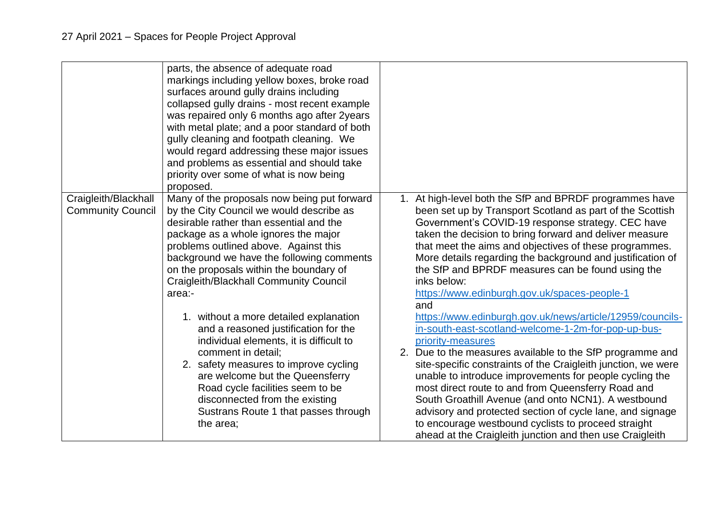|                                                  | parts, the absence of adequate road<br>markings including yellow boxes, broke road<br>surfaces around gully drains including<br>collapsed gully drains - most recent example<br>was repaired only 6 months ago after 2years<br>with metal plate; and a poor standard of both<br>gully cleaning and footpath cleaning. We<br>would regard addressing these major issues<br>and problems as essential and should take<br>priority over some of what is now being<br>proposed. |                                                                                                                                                                                                                                                                                                                                                                                                                                                                                                                                                                                                                             |
|--------------------------------------------------|-----------------------------------------------------------------------------------------------------------------------------------------------------------------------------------------------------------------------------------------------------------------------------------------------------------------------------------------------------------------------------------------------------------------------------------------------------------------------------|-----------------------------------------------------------------------------------------------------------------------------------------------------------------------------------------------------------------------------------------------------------------------------------------------------------------------------------------------------------------------------------------------------------------------------------------------------------------------------------------------------------------------------------------------------------------------------------------------------------------------------|
| Craigleith/Blackhall<br><b>Community Council</b> | Many of the proposals now being put forward<br>by the City Council we would describe as<br>desirable rather than essential and the<br>package as a whole ignores the major<br>problems outlined above. Against this<br>background we have the following comments<br>on the proposals within the boundary of<br>Craigleith/Blackhall Community Council<br>area:-                                                                                                             | 1. At high-level both the SfP and BPRDF programmes have<br>been set up by Transport Scotland as part of the Scottish<br>Government's COVID-19 response strategy. CEC have<br>taken the decision to bring forward and deliver measure<br>that meet the aims and objectives of these programmes.<br>More details regarding the background and justification of<br>the SfP and BPRDF measures can be found using the<br>inks below:<br>https://www.edinburgh.gov.uk/spaces-people-1<br>and                                                                                                                                     |
|                                                  | 1. without a more detailed explanation<br>and a reasoned justification for the<br>individual elements, it is difficult to<br>comment in detail:<br>2. safety measures to improve cycling<br>are welcome but the Queensferry<br>Road cycle facilities seem to be<br>disconnected from the existing<br>Sustrans Route 1 that passes through<br>the area;                                                                                                                      | https://www.edinburgh.gov.uk/news/article/12959/councils-<br>in-south-east-scotland-welcome-1-2m-for-pop-up-bus-<br>priority-measures<br>2. Due to the measures available to the SfP programme and<br>site-specific constraints of the Craigleith junction, we were<br>unable to introduce improvements for people cycling the<br>most direct route to and from Queensferry Road and<br>South Groathill Avenue (and onto NCN1). A westbound<br>advisory and protected section of cycle lane, and signage<br>to encourage westbound cyclists to proceed straight<br>ahead at the Craigleith junction and then use Craigleith |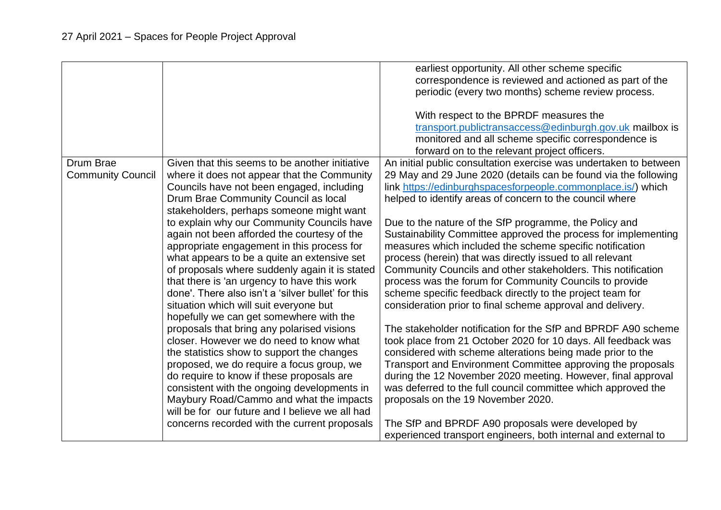|                                       |                                                                                                                                                                                                                                                                                                                                                                                                                                                                                                                                                                                                                                                                                                                                                                                                                                                                                                                                                                                                                                                                                                    | earliest opportunity. All other scheme specific<br>correspondence is reviewed and actioned as part of the<br>periodic (every two months) scheme review process.<br>With respect to the BPRDF measures the<br>transport.publictransaccess@edinburgh.gov.uk mailbox is<br>monitored and all scheme specific correspondence is                                                                                                                                                                                                                                                                                                                                                                                                                                                                                                                                                                                                                                                                                                                                                                                                                                                                                                                                                                                                                                                              |
|---------------------------------------|----------------------------------------------------------------------------------------------------------------------------------------------------------------------------------------------------------------------------------------------------------------------------------------------------------------------------------------------------------------------------------------------------------------------------------------------------------------------------------------------------------------------------------------------------------------------------------------------------------------------------------------------------------------------------------------------------------------------------------------------------------------------------------------------------------------------------------------------------------------------------------------------------------------------------------------------------------------------------------------------------------------------------------------------------------------------------------------------------|------------------------------------------------------------------------------------------------------------------------------------------------------------------------------------------------------------------------------------------------------------------------------------------------------------------------------------------------------------------------------------------------------------------------------------------------------------------------------------------------------------------------------------------------------------------------------------------------------------------------------------------------------------------------------------------------------------------------------------------------------------------------------------------------------------------------------------------------------------------------------------------------------------------------------------------------------------------------------------------------------------------------------------------------------------------------------------------------------------------------------------------------------------------------------------------------------------------------------------------------------------------------------------------------------------------------------------------------------------------------------------------|
| Drum Brae<br><b>Community Council</b> | Given that this seems to be another initiative<br>where it does not appear that the Community<br>Councils have not been engaged, including<br>Drum Brae Community Council as local<br>stakeholders, perhaps someone might want<br>to explain why our Community Councils have<br>again not been afforded the courtesy of the<br>appropriate engagement in this process for<br>what appears to be a quite an extensive set<br>of proposals where suddenly again it is stated<br>that there is 'an urgency to have this work<br>done'. There also isn't a 'silver bullet' for this<br>situation which will suit everyone but<br>hopefully we can get somewhere with the<br>proposals that bring any polarised visions<br>closer. However we do need to know what<br>the statistics show to support the changes<br>proposed, we do require a focus group, we<br>do require to know if these proposals are<br>consistent with the ongoing developments in<br>Maybury Road/Cammo and what the impacts<br>will be for our future and I believe we all had<br>concerns recorded with the current proposals | forward on to the relevant project officers.<br>An initial public consultation exercise was undertaken to between<br>29 May and 29 June 2020 (details can be found via the following<br>link https://edinburghspacesforpeople.commonplace.is/) which<br>helped to identify areas of concern to the council where<br>Due to the nature of the SfP programme, the Policy and<br>Sustainability Committee approved the process for implementing<br>measures which included the scheme specific notification<br>process (herein) that was directly issued to all relevant<br>Community Councils and other stakeholders. This notification<br>process was the forum for Community Councils to provide<br>scheme specific feedback directly to the project team for<br>consideration prior to final scheme approval and delivery.<br>The stakeholder notification for the SfP and BPRDF A90 scheme<br>took place from 21 October 2020 for 10 days. All feedback was<br>considered with scheme alterations being made prior to the<br>Transport and Environment Committee approving the proposals<br>during the 12 November 2020 meeting. However, final approval<br>was deferred to the full council committee which approved the<br>proposals on the 19 November 2020.<br>The SfP and BPRDF A90 proposals were developed by<br>experienced transport engineers, both internal and external to |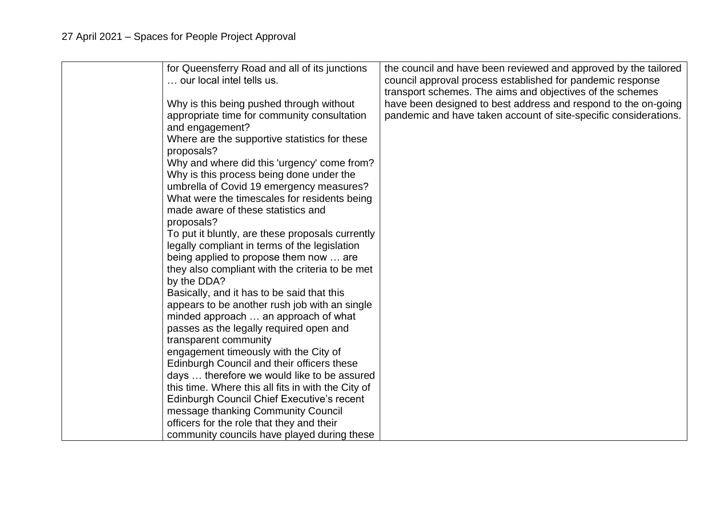| for Queensferry Road and all of its junctions<br>our local intel tells us. | the council and have been reviewed and approved by the tailored<br>council approval process established for pandemic response<br>transport schemes. The aims and objectives of the schemes |
|----------------------------------------------------------------------------|--------------------------------------------------------------------------------------------------------------------------------------------------------------------------------------------|
| Why is this being pushed through without                                   | have been designed to best address and respond to the on-going                                                                                                                             |
| appropriate time for community consultation                                | pandemic and have taken account of site-specific considerations.                                                                                                                           |
| and engagement?                                                            |                                                                                                                                                                                            |
| Where are the supportive statistics for these                              |                                                                                                                                                                                            |
| proposals?                                                                 |                                                                                                                                                                                            |
| Why and where did this 'urgency' come from?                                |                                                                                                                                                                                            |
| Why is this process being done under the                                   |                                                                                                                                                                                            |
| umbrella of Covid 19 emergency measures?                                   |                                                                                                                                                                                            |
| What were the timescales for residents being                               |                                                                                                                                                                                            |
| made aware of these statistics and                                         |                                                                                                                                                                                            |
| proposals?                                                                 |                                                                                                                                                                                            |
| To put it bluntly, are these proposals currently                           |                                                                                                                                                                                            |
| legally compliant in terms of the legislation                              |                                                                                                                                                                                            |
| being applied to propose them now  are                                     |                                                                                                                                                                                            |
| they also compliant with the criteria to be met                            |                                                                                                                                                                                            |
| by the DDA?                                                                |                                                                                                                                                                                            |
| Basically, and it has to be said that this                                 |                                                                                                                                                                                            |
| appears to be another rush job with an single                              |                                                                                                                                                                                            |
| minded approach  an approach of what                                       |                                                                                                                                                                                            |
| passes as the legally required open and                                    |                                                                                                                                                                                            |
| transparent community                                                      |                                                                                                                                                                                            |
| engagement timeously with the City of                                      |                                                                                                                                                                                            |
| Edinburgh Council and their officers these                                 |                                                                                                                                                                                            |
| days  therefore we would like to be assured                                |                                                                                                                                                                                            |
| this time. Where this all fits in with the City of                         |                                                                                                                                                                                            |
| Edinburgh Council Chief Executive's recent                                 |                                                                                                                                                                                            |
| message thanking Community Council                                         |                                                                                                                                                                                            |
| officers for the role that they and their                                  |                                                                                                                                                                                            |
| community councils have played during these                                |                                                                                                                                                                                            |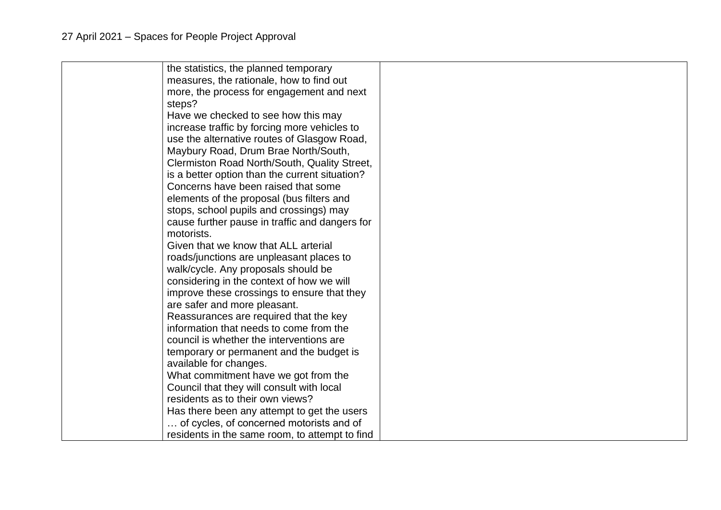| the statistics, the planned temporary          |  |
|------------------------------------------------|--|
| measures, the rationale, how to find out       |  |
| more, the process for engagement and next      |  |
| steps?                                         |  |
| Have we checked to see how this may            |  |
| increase traffic by forcing more vehicles to   |  |
| use the alternative routes of Glasgow Road,    |  |
| Maybury Road, Drum Brae North/South,           |  |
| Clermiston Road North/South, Quality Street,   |  |
| is a better option than the current situation? |  |
| Concerns have been raised that some            |  |
| elements of the proposal (bus filters and      |  |
| stops, school pupils and crossings) may        |  |
| cause further pause in traffic and dangers for |  |
| motorists.                                     |  |
| Given that we know that ALL arterial           |  |
| roads/junctions are unpleasant places to       |  |
| walk/cycle. Any proposals should be            |  |
| considering in the context of how we will      |  |
| improve these crossings to ensure that they    |  |
| are safer and more pleasant.                   |  |
| Reassurances are required that the key         |  |
| information that needs to come from the        |  |
| council is whether the interventions are       |  |
| temporary or permanent and the budget is       |  |
| available for changes.                         |  |
| What commitment have we got from the           |  |
| Council that they will consult with local      |  |
| residents as to their own views?               |  |
| Has there been any attempt to get the users    |  |
| of cycles, of concerned motorists and of       |  |
| residents in the same room, to attempt to find |  |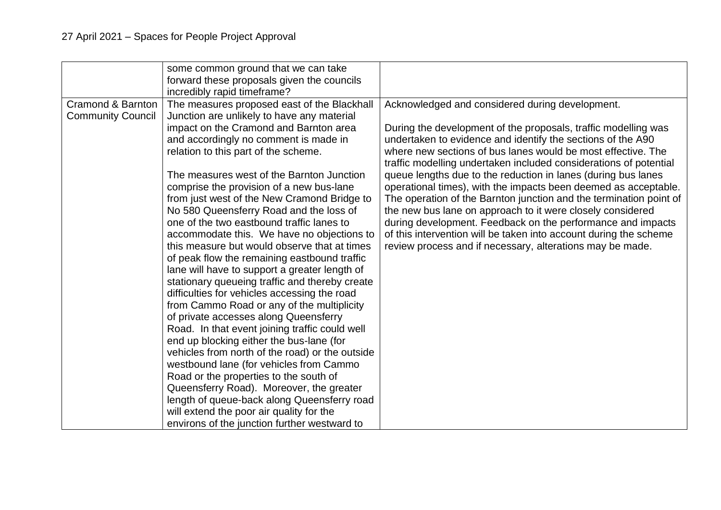|                                               | some common ground that we can take<br>forward these proposals given the councils<br>incredibly rapid timeframe?                                                                                                                                                                                                                                                                                                                                                                                                                                                                                                                                                                                                                                                                                                                                                                                                                                                                                                                                                                                                                                                                                                          |                                                                                                                                                                                                                                                                                                                                                                                                                                                                                                                                                                                                                                                                                                                                                                                                |
|-----------------------------------------------|---------------------------------------------------------------------------------------------------------------------------------------------------------------------------------------------------------------------------------------------------------------------------------------------------------------------------------------------------------------------------------------------------------------------------------------------------------------------------------------------------------------------------------------------------------------------------------------------------------------------------------------------------------------------------------------------------------------------------------------------------------------------------------------------------------------------------------------------------------------------------------------------------------------------------------------------------------------------------------------------------------------------------------------------------------------------------------------------------------------------------------------------------------------------------------------------------------------------------|------------------------------------------------------------------------------------------------------------------------------------------------------------------------------------------------------------------------------------------------------------------------------------------------------------------------------------------------------------------------------------------------------------------------------------------------------------------------------------------------------------------------------------------------------------------------------------------------------------------------------------------------------------------------------------------------------------------------------------------------------------------------------------------------|
| Cramond & Barnton<br><b>Community Council</b> | The measures proposed east of the Blackhall<br>Junction are unlikely to have any material<br>impact on the Cramond and Barnton area<br>and accordingly no comment is made in<br>relation to this part of the scheme.<br>The measures west of the Barnton Junction<br>comprise the provision of a new bus-lane<br>from just west of the New Cramond Bridge to<br>No 580 Queensferry Road and the loss of<br>one of the two eastbound traffic lanes to<br>accommodate this. We have no objections to<br>this measure but would observe that at times<br>of peak flow the remaining eastbound traffic<br>lane will have to support a greater length of<br>stationary queueing traffic and thereby create<br>difficulties for vehicles accessing the road<br>from Cammo Road or any of the multiplicity<br>of private accesses along Queensferry<br>Road. In that event joining traffic could well<br>end up blocking either the bus-lane (for<br>vehicles from north of the road) or the outside<br>westbound lane (for vehicles from Cammo<br>Road or the properties to the south of<br>Queensferry Road). Moreover, the greater<br>length of queue-back along Queensferry road<br>will extend the poor air quality for the | Acknowledged and considered during development.<br>During the development of the proposals, traffic modelling was<br>undertaken to evidence and identify the sections of the A90<br>where new sections of bus lanes would be most effective. The<br>traffic modelling undertaken included considerations of potential<br>queue lengths due to the reduction in lanes (during bus lanes<br>operational times), with the impacts been deemed as acceptable.<br>The operation of the Barnton junction and the termination point of<br>the new bus lane on approach to it were closely considered<br>during development. Feedback on the performance and impacts<br>of this intervention will be taken into account during the scheme<br>review process and if necessary, alterations may be made. |
|                                               | environs of the junction further westward to                                                                                                                                                                                                                                                                                                                                                                                                                                                                                                                                                                                                                                                                                                                                                                                                                                                                                                                                                                                                                                                                                                                                                                              |                                                                                                                                                                                                                                                                                                                                                                                                                                                                                                                                                                                                                                                                                                                                                                                                |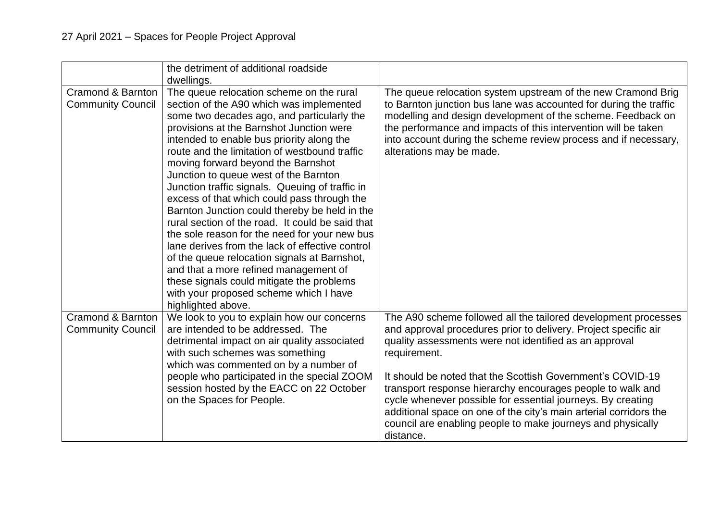|                                               | the detriment of additional roadside<br>dwellings.                                                                                                                                                                                                                                                                                                                                                                                                                                                                                                                                                                                                                                                                                                                                                                                                                           |                                                                                                                                                                                                                                                                                                                                                                                                                                                                                                                                                         |
|-----------------------------------------------|------------------------------------------------------------------------------------------------------------------------------------------------------------------------------------------------------------------------------------------------------------------------------------------------------------------------------------------------------------------------------------------------------------------------------------------------------------------------------------------------------------------------------------------------------------------------------------------------------------------------------------------------------------------------------------------------------------------------------------------------------------------------------------------------------------------------------------------------------------------------------|---------------------------------------------------------------------------------------------------------------------------------------------------------------------------------------------------------------------------------------------------------------------------------------------------------------------------------------------------------------------------------------------------------------------------------------------------------------------------------------------------------------------------------------------------------|
| Cramond & Barnton<br><b>Community Council</b> | The queue relocation scheme on the rural<br>section of the A90 which was implemented<br>some two decades ago, and particularly the<br>provisions at the Barnshot Junction were<br>intended to enable bus priority along the<br>route and the limitation of westbound traffic<br>moving forward beyond the Barnshot<br>Junction to queue west of the Barnton<br>Junction traffic signals. Queuing of traffic in<br>excess of that which could pass through the<br>Barnton Junction could thereby be held in the<br>rural section of the road. It could be said that<br>the sole reason for the need for your new bus<br>lane derives from the lack of effective control<br>of the queue relocation signals at Barnshot,<br>and that a more refined management of<br>these signals could mitigate the problems<br>with your proposed scheme which I have<br>highlighted above. | The queue relocation system upstream of the new Cramond Brig<br>to Barnton junction bus lane was accounted for during the traffic<br>modelling and design development of the scheme. Feedback on<br>the performance and impacts of this intervention will be taken<br>into account during the scheme review process and if necessary,<br>alterations may be made.                                                                                                                                                                                       |
| Cramond & Barnton<br><b>Community Council</b> | We look to you to explain how our concerns<br>are intended to be addressed. The<br>detrimental impact on air quality associated<br>with such schemes was something<br>which was commented on by a number of<br>people who participated in the special ZOOM<br>session hosted by the EACC on 22 October<br>on the Spaces for People.                                                                                                                                                                                                                                                                                                                                                                                                                                                                                                                                          | The A90 scheme followed all the tailored development processes<br>and approval procedures prior to delivery. Project specific air<br>quality assessments were not identified as an approval<br>requirement.<br>It should be noted that the Scottish Government's COVID-19<br>transport response hierarchy encourages people to walk and<br>cycle whenever possible for essential journeys. By creating<br>additional space on one of the city's main arterial corridors the<br>council are enabling people to make journeys and physically<br>distance. |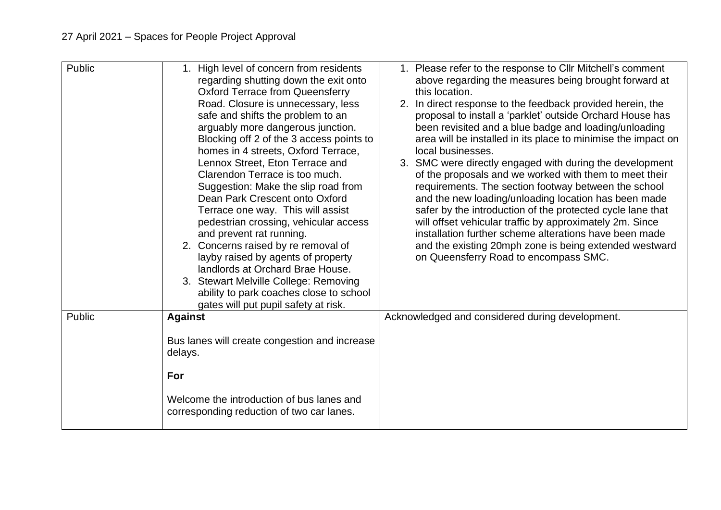| Public | High level of concern from residents<br>1 <sub>1</sub><br>regarding shutting down the exit onto<br><b>Oxford Terrace from Queensferry</b><br>Road. Closure is unnecessary, less<br>safe and shifts the problem to an<br>arguably more dangerous junction.<br>Blocking off 2 of the 3 access points to<br>homes in 4 streets, Oxford Terrace,<br>Lennox Street, Eton Terrace and<br>Clarendon Terrace is too much.<br>Suggestion: Make the slip road from<br>Dean Park Crescent onto Oxford<br>Terrace one way. This will assist<br>pedestrian crossing, vehicular access<br>and prevent rat running.<br>2. Concerns raised by re removal of<br>layby raised by agents of property<br>landlords at Orchard Brae House.<br>3. Stewart Melville College: Removing | 1. Please refer to the response to Cllr Mitchell's comment<br>above regarding the measures being brought forward at<br>this location.<br>2. In direct response to the feedback provided herein, the<br>proposal to install a 'parklet' outside Orchard House has<br>been revisited and a blue badge and loading/unloading<br>area will be installed in its place to minimise the impact on<br>local businesses.<br>3. SMC were directly engaged with during the development<br>of the proposals and we worked with them to meet their<br>requirements. The section footway between the school<br>and the new loading/unloading location has been made<br>safer by the introduction of the protected cycle lane that<br>will offset vehicular traffic by approximately 2m. Since<br>installation further scheme alterations have been made<br>and the existing 20mph zone is being extended westward<br>on Queensferry Road to encompass SMC. |
|--------|----------------------------------------------------------------------------------------------------------------------------------------------------------------------------------------------------------------------------------------------------------------------------------------------------------------------------------------------------------------------------------------------------------------------------------------------------------------------------------------------------------------------------------------------------------------------------------------------------------------------------------------------------------------------------------------------------------------------------------------------------------------|----------------------------------------------------------------------------------------------------------------------------------------------------------------------------------------------------------------------------------------------------------------------------------------------------------------------------------------------------------------------------------------------------------------------------------------------------------------------------------------------------------------------------------------------------------------------------------------------------------------------------------------------------------------------------------------------------------------------------------------------------------------------------------------------------------------------------------------------------------------------------------------------------------------------------------------------|
|        | ability to park coaches close to school<br>gates will put pupil safety at risk.                                                                                                                                                                                                                                                                                                                                                                                                                                                                                                                                                                                                                                                                                |                                                                                                                                                                                                                                                                                                                                                                                                                                                                                                                                                                                                                                                                                                                                                                                                                                                                                                                                              |
| Public | <b>Against</b>                                                                                                                                                                                                                                                                                                                                                                                                                                                                                                                                                                                                                                                                                                                                                 | Acknowledged and considered during development.                                                                                                                                                                                                                                                                                                                                                                                                                                                                                                                                                                                                                                                                                                                                                                                                                                                                                              |
|        | Bus lanes will create congestion and increase<br>delays.                                                                                                                                                                                                                                                                                                                                                                                                                                                                                                                                                                                                                                                                                                       |                                                                                                                                                                                                                                                                                                                                                                                                                                                                                                                                                                                                                                                                                                                                                                                                                                                                                                                                              |
|        | For                                                                                                                                                                                                                                                                                                                                                                                                                                                                                                                                                                                                                                                                                                                                                            |                                                                                                                                                                                                                                                                                                                                                                                                                                                                                                                                                                                                                                                                                                                                                                                                                                                                                                                                              |
|        | Welcome the introduction of bus lanes and<br>corresponding reduction of two car lanes.                                                                                                                                                                                                                                                                                                                                                                                                                                                                                                                                                                                                                                                                         |                                                                                                                                                                                                                                                                                                                                                                                                                                                                                                                                                                                                                                                                                                                                                                                                                                                                                                                                              |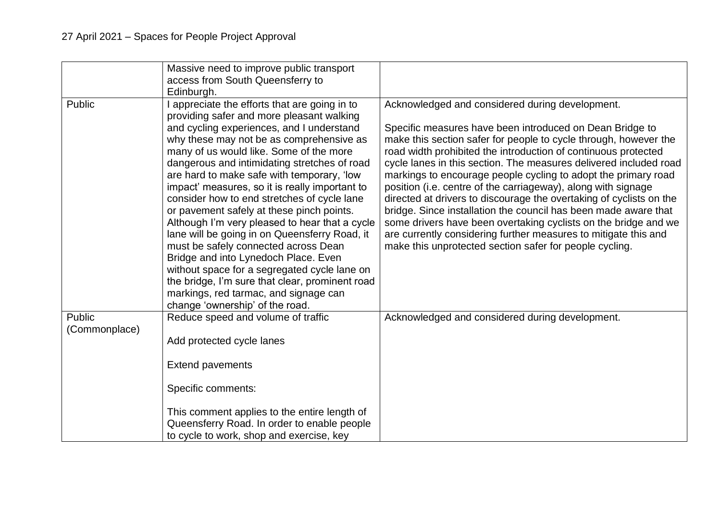|                         | Massive need to improve public transport<br>access from South Queensferry to<br>Edinburgh.                                                                                                                                                                                                                                                                                                                                                                                                                                                                                                                                                                                                                                                                                                                                                 |                                                                                                                                                                                                                                                                                                                                                                                                                                                                                                                                                                                                                                                                                                                                                                                                      |
|-------------------------|--------------------------------------------------------------------------------------------------------------------------------------------------------------------------------------------------------------------------------------------------------------------------------------------------------------------------------------------------------------------------------------------------------------------------------------------------------------------------------------------------------------------------------------------------------------------------------------------------------------------------------------------------------------------------------------------------------------------------------------------------------------------------------------------------------------------------------------------|------------------------------------------------------------------------------------------------------------------------------------------------------------------------------------------------------------------------------------------------------------------------------------------------------------------------------------------------------------------------------------------------------------------------------------------------------------------------------------------------------------------------------------------------------------------------------------------------------------------------------------------------------------------------------------------------------------------------------------------------------------------------------------------------------|
| Public                  | appreciate the efforts that are going in to<br>providing safer and more pleasant walking<br>and cycling experiences, and I understand<br>why these may not be as comprehensive as<br>many of us would like. Some of the more<br>dangerous and intimidating stretches of road<br>are hard to make safe with temporary, 'low<br>impact' measures, so it is really important to<br>consider how to end stretches of cycle lane<br>or pavement safely at these pinch points.<br>Although I'm very pleased to hear that a cycle<br>lane will be going in on Queensferry Road, it<br>must be safely connected across Dean<br>Bridge and into Lynedoch Place. Even<br>without space for a segregated cycle lane on<br>the bridge, I'm sure that clear, prominent road<br>markings, red tarmac, and signage can<br>change 'ownership' of the road. | Acknowledged and considered during development.<br>Specific measures have been introduced on Dean Bridge to<br>make this section safer for people to cycle through, however the<br>road width prohibited the introduction of continuous protected<br>cycle lanes in this section. The measures delivered included road<br>markings to encourage people cycling to adopt the primary road<br>position (i.e. centre of the carriageway), along with signage<br>directed at drivers to discourage the overtaking of cyclists on the<br>bridge. Since installation the council has been made aware that<br>some drivers have been overtaking cyclists on the bridge and we<br>are currently considering further measures to mitigate this and<br>make this unprotected section safer for people cycling. |
| Public<br>(Commonplace) | Reduce speed and volume of traffic<br>Add protected cycle lanes                                                                                                                                                                                                                                                                                                                                                                                                                                                                                                                                                                                                                                                                                                                                                                            | Acknowledged and considered during development.                                                                                                                                                                                                                                                                                                                                                                                                                                                                                                                                                                                                                                                                                                                                                      |
|                         | <b>Extend pavements</b>                                                                                                                                                                                                                                                                                                                                                                                                                                                                                                                                                                                                                                                                                                                                                                                                                    |                                                                                                                                                                                                                                                                                                                                                                                                                                                                                                                                                                                                                                                                                                                                                                                                      |
|                         | Specific comments:                                                                                                                                                                                                                                                                                                                                                                                                                                                                                                                                                                                                                                                                                                                                                                                                                         |                                                                                                                                                                                                                                                                                                                                                                                                                                                                                                                                                                                                                                                                                                                                                                                                      |
|                         | This comment applies to the entire length of<br>Queensferry Road. In order to enable people<br>to cycle to work, shop and exercise, key                                                                                                                                                                                                                                                                                                                                                                                                                                                                                                                                                                                                                                                                                                    |                                                                                                                                                                                                                                                                                                                                                                                                                                                                                                                                                                                                                                                                                                                                                                                                      |